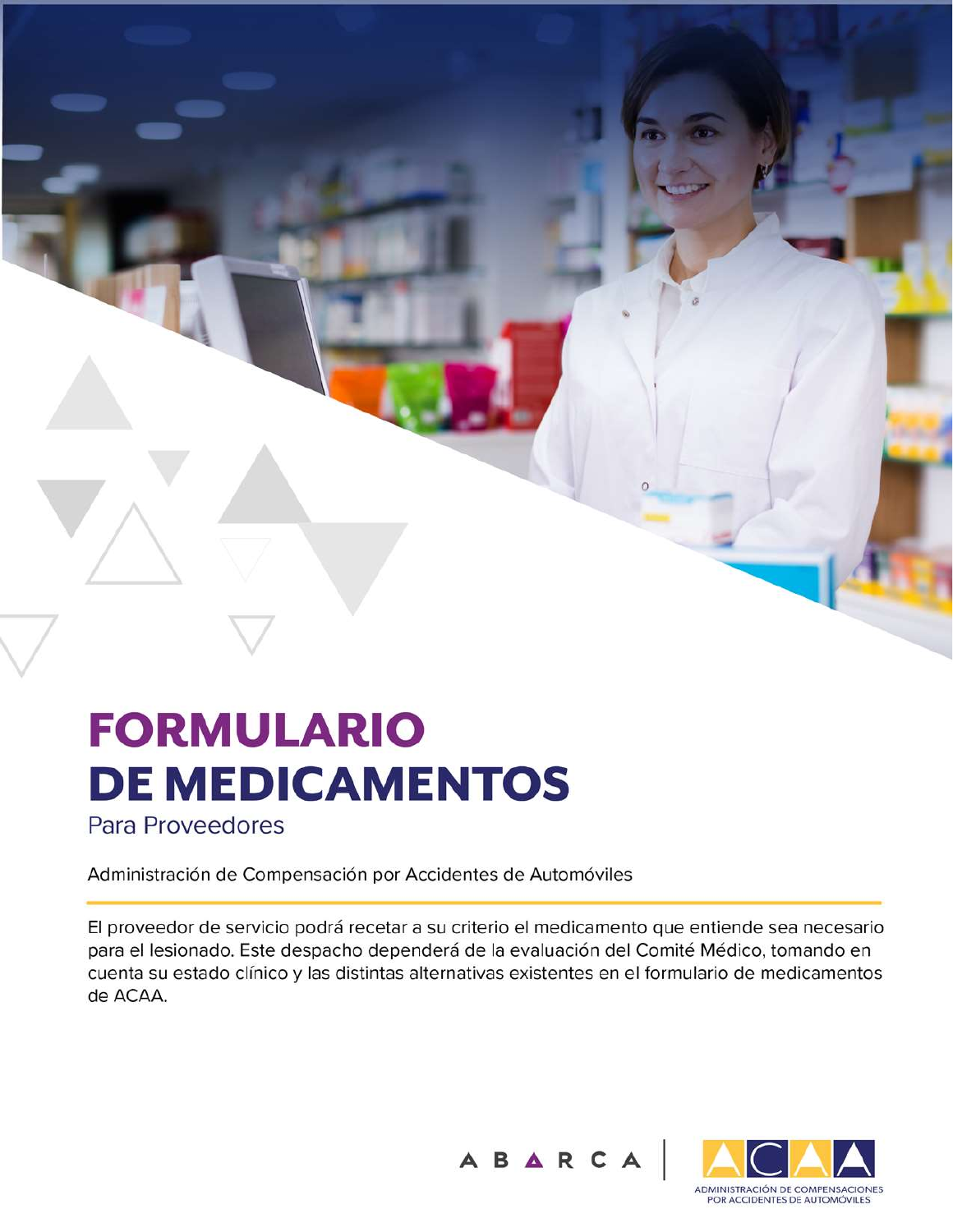# **FORMULARIO DE MEDICAMENTOS**

Para Proveedores

Administración de Compensación por Accidentes de Automóviles

El proveedor de servicio podrá recetar a su criterio el medicamento que entiende sea necesario para el lesionado. Este despacho dependerá de la evaluación del Comité Médico, tomando en cuenta su estado clínico y las distintas alternativas existentes en el formulario de medicamentos de ACAA.



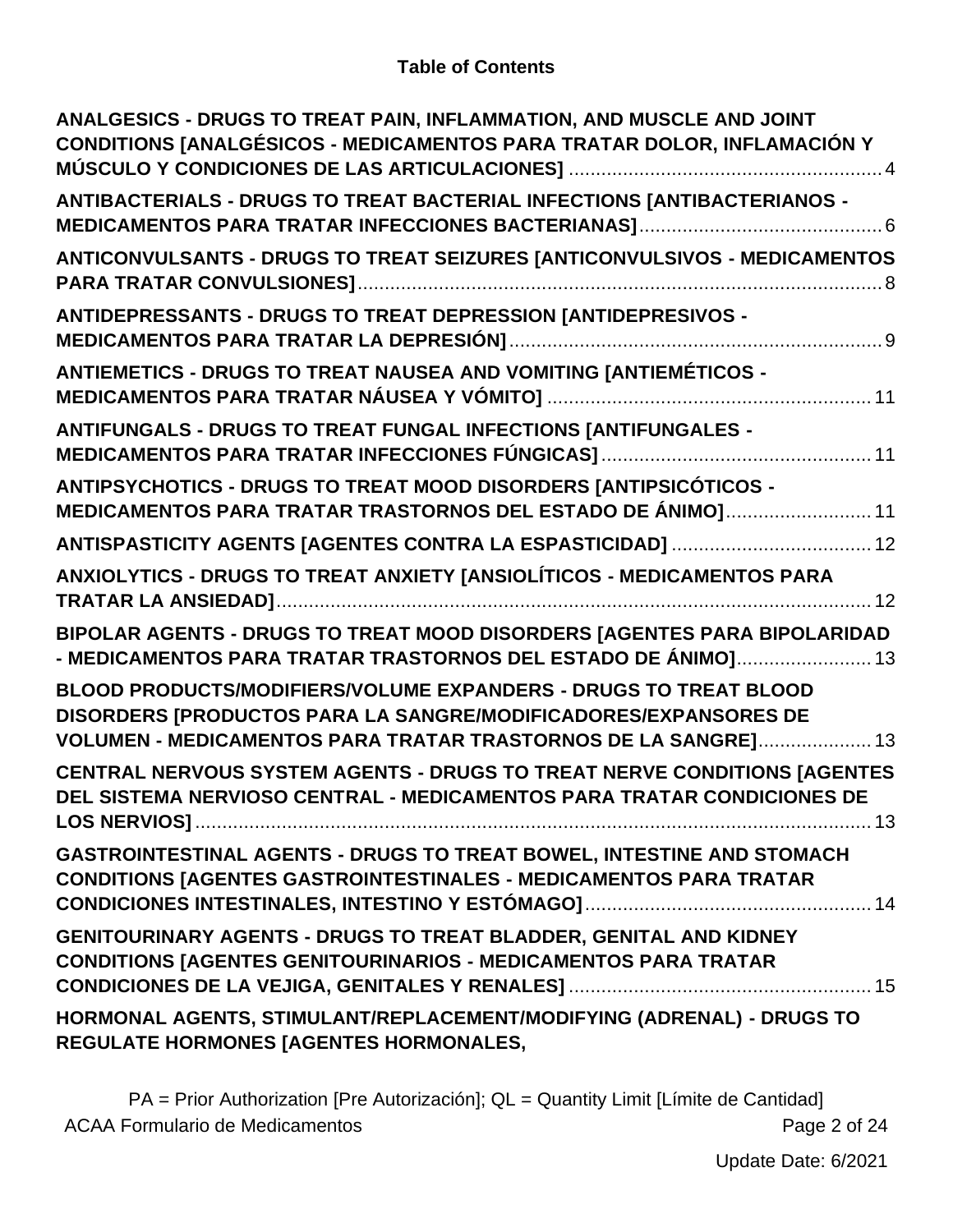#### **Table of Contents**

| ANALGESICS - DRUGS TO TREAT PAIN, INFLAMMATION, AND MUSCLE AND JOINT<br>CONDITIONS [ANALGÉSICOS - MEDICAMENTOS PARA TRATAR DOLOR, INFLAMACIÓN Y                                                       |
|-------------------------------------------------------------------------------------------------------------------------------------------------------------------------------------------------------|
| ANTIBACTERIALS - DRUGS TO TREAT BACTERIAL INFECTIONS [ANTIBACTERIANOS -                                                                                                                               |
| ANTICONVULSANTS - DRUGS TO TREAT SEIZURES [ANTICONVULSIVOS - MEDICAMENTOS                                                                                                                             |
| ANTIDEPRESSANTS - DRUGS TO TREAT DEPRESSION [ANTIDEPRESIVOS -                                                                                                                                         |
| <b>ANTIEMETICS - DRUGS TO TREAT NAUSEA AND VOMITING [ANTIEMÉTICOS -</b>                                                                                                                               |
| ANTIFUNGALS - DRUGS TO TREAT FUNGAL INFECTIONS [ANTIFUNGALES -                                                                                                                                        |
| ANTIPSYCHOTICS - DRUGS TO TREAT MOOD DISORDERS [ANTIPSICÓTICOS -<br>MEDICAMENTOS PARA TRATAR TRASTORNOS DEL ESTADO DE ÁNIMO] 11                                                                       |
|                                                                                                                                                                                                       |
| ANXIOLYTICS - DRUGS TO TREAT ANXIETY [ANSIOLÍTICOS - MEDICAMENTOS PARA                                                                                                                                |
| BIPOLAR AGENTS - DRUGS TO TREAT MOOD DISORDERS [AGENTES PARA BIPOLARIDAD<br>- MEDICAMENTOS PARA TRATAR TRASTORNOS DEL ESTADO DE ÁNIMO] 13                                                             |
| BLOOD PRODUCTS/MODIFIERS/VOLUME EXPANDERS - DRUGS TO TREAT BLOOD<br>DISORDERS [PRODUCTOS PARA LA SANGRE/MODIFICADORES/EXPANSORES DE<br>VOLUMEN - MEDICAMENTOS PARA TRATAR TRASTORNOS DE LA SANGRE] 13 |
| CENTRAL NERVOUS SYSTEM AGENTS - DRUGS TO TREAT NERVE CONDITIONS [AGENTES<br>DEL SISTEMA NERVIOSO CENTRAL - MEDICAMENTOS PARA TRATAR CONDICIONES DE                                                    |
| <b>GASTROINTESTINAL AGENTS - DRUGS TO TREAT BOWEL, INTESTINE AND STOMACH</b><br><b>CONDITIONS [AGENTES GASTROINTESTINALES - MEDICAMENTOS PARA TRATAR</b>                                              |
| GENITOURINARY AGENTS - DRUGS TO TREAT BLADDER, GENITAL AND KIDNEY<br><b>CONDITIONS [AGENTES GENITOURINARIOS - MEDICAMENTOS PARA TRATAR</b>                                                            |
| HORMONAL AGENTS, STIMULANT/REPLACEMENT/MODIFYING (ADRENAL) - DRUGS TO<br>REGULATE HORMONES [AGENTES HORMONALES,                                                                                       |

PA = Prior Authorization [Pre Autorización]; QL = Quantity Limit [Límite de Cantidad] ACAA Formulario de Medicamentos **Page 2 of 24**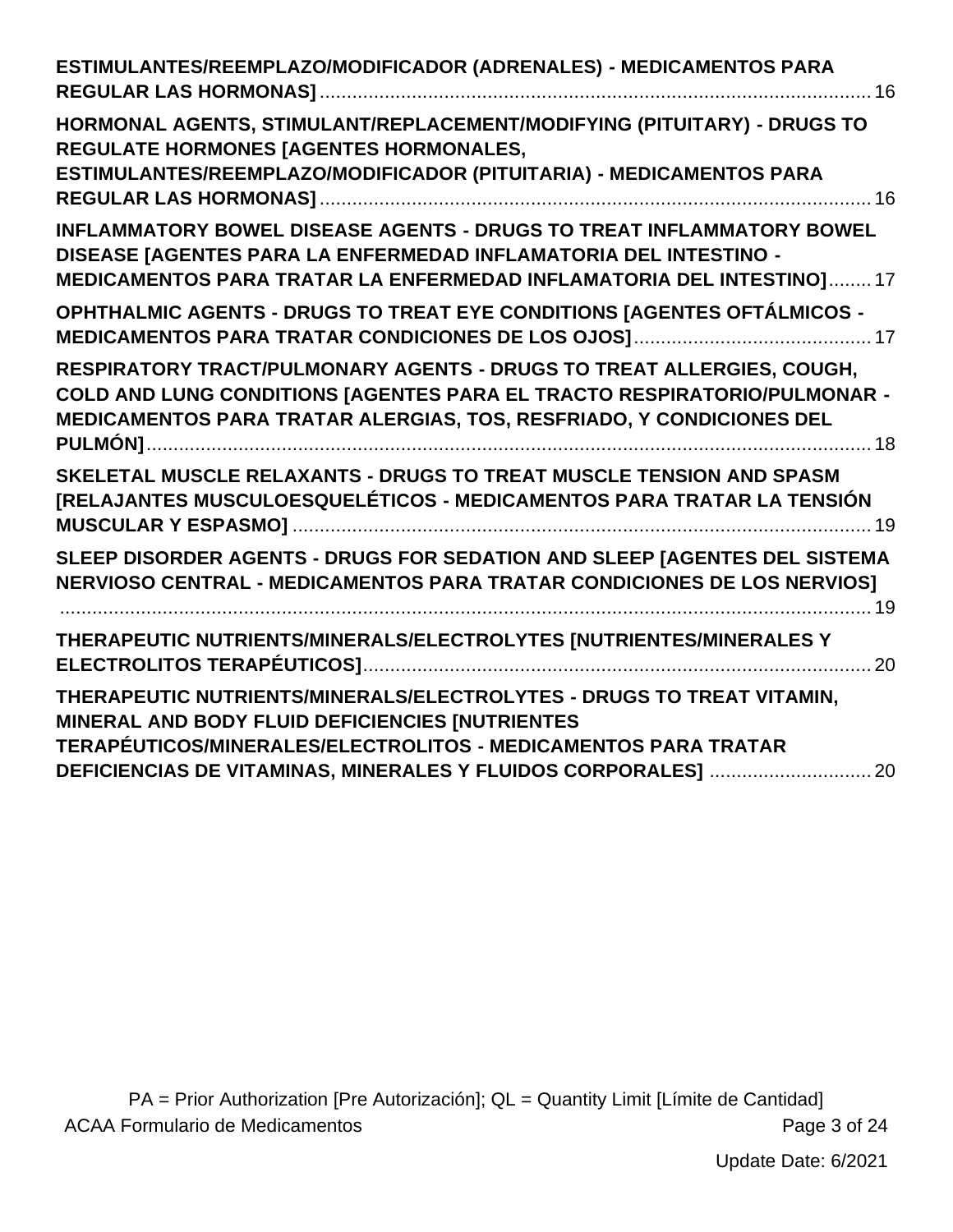| ESTIMULANTES/REEMPLAZO/MODIFICADOR (ADRENALES) - MEDICAMENTOS PARA                                                                                                                                                        |  |
|---------------------------------------------------------------------------------------------------------------------------------------------------------------------------------------------------------------------------|--|
| HORMONAL AGENTS, STIMULANT/REPLACEMENT/MODIFYING (PITUITARY) - DRUGS TO<br>REGULATE HORMONES [AGENTES HORMONALES,<br>ESTIMULANTES/REEMPLAZO/MODIFICADOR (PITUITARIA) - MEDICAMENTOS PARA                                  |  |
| INFLAMMATORY BOWEL DISEASE AGENTS - DRUGS TO TREAT INFLAMMATORY BOWEL<br>DISEASE [AGENTES PARA LA ENFERMEDAD INFLAMATORIA DEL INTESTINO -<br>MEDICAMENTOS PARA TRATAR LA ENFERMEDAD INFLAMATORIA DEL INTESTINO] 17        |  |
| OPHTHALMIC AGENTS - DRUGS TO TREAT EYE CONDITIONS [AGENTES OFTÁLMICOS -                                                                                                                                                   |  |
| RESPIRATORY TRACT/PULMONARY AGENTS - DRUGS TO TREAT ALLERGIES, COUGH,<br>COLD AND LUNG CONDITIONS [AGENTES PARA EL TRACTO RESPIRATORIO/PULMONAR -<br>MEDICAMENTOS PARA TRATAR ALERGIAS, TOS, RESFRIADO, Y CONDICIONES DEL |  |
| SKELETAL MUSCLE RELAXANTS - DRUGS TO TREAT MUSCLE TENSION AND SPASM<br>[RELAJANTES MUSCULOESQUELÉTICOS - MEDICAMENTOS PARA TRATAR LA TENSIÓN                                                                              |  |
| SLEEP DISORDER AGENTS - DRUGS FOR SEDATION AND SLEEP [AGENTES DEL SISTEMA<br>NERVIOSO CENTRAL - MEDICAMENTOS PARA TRATAR CONDICIONES DE LOS NERVIOS]                                                                      |  |
| THERAPEUTIC NUTRIENTS/MINERALS/ELECTROLYTES [NUTRIENTES/MINERALES Y                                                                                                                                                       |  |
| THERAPEUTIC NUTRIENTS/MINERALS/ELECTROLYTES - DRUGS TO TREAT VITAMIN,<br>MINERAL AND BODY FLUID DEFICIENCIES [NUTRIENTES<br><b>TERAPÉUTICOS/MINERALES/ELECTROLITOS - MEDICAMENTOS PARA TRATAR</b>                         |  |
|                                                                                                                                                                                                                           |  |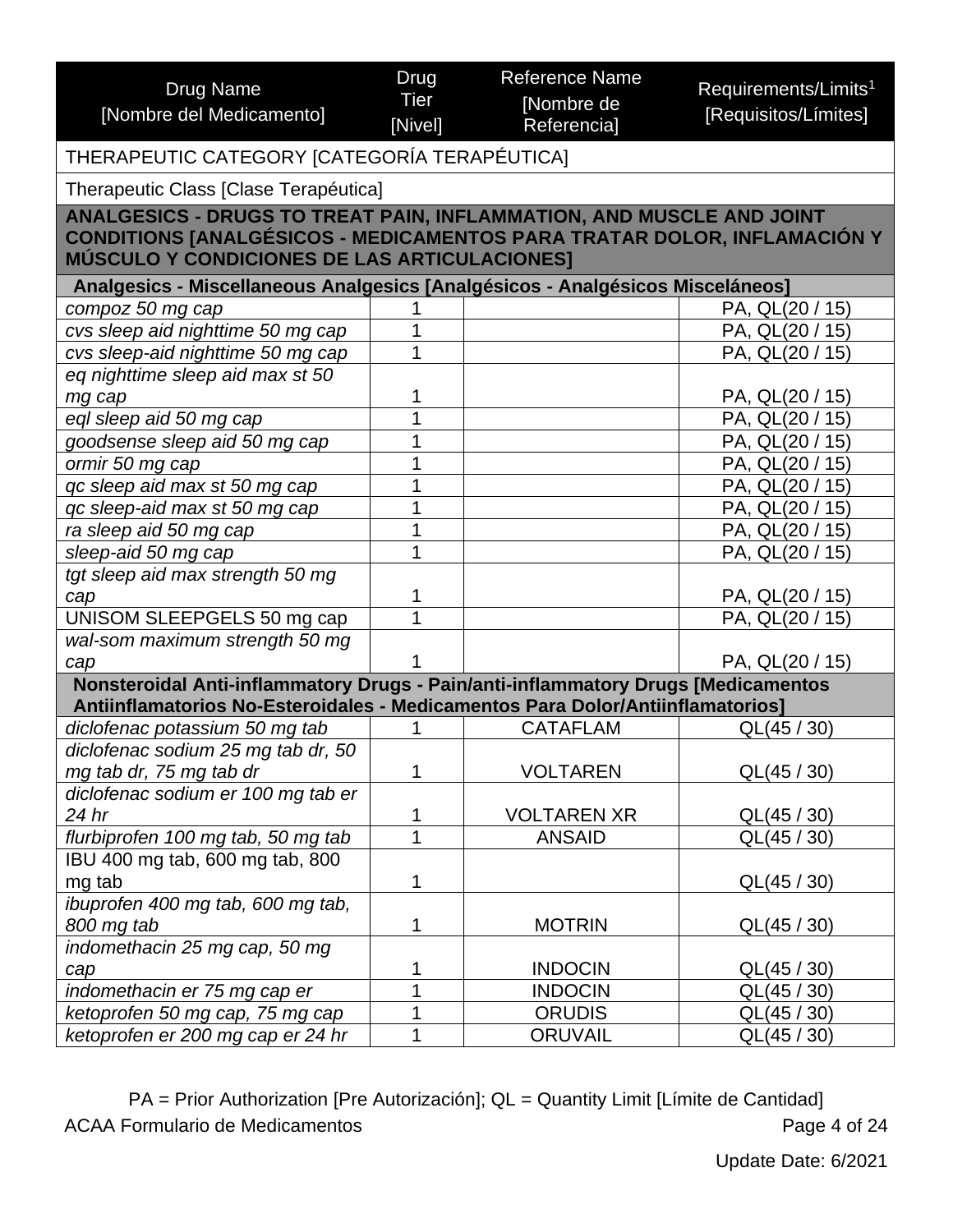<span id="page-3-0"></span>

| <b>Drug Name</b><br>[Nombre del Medicamento]                                                                                                                                                    | Drug<br><b>Tier</b><br>[Nivel] | <b>Reference Name</b><br>[Nombre de<br>Referencia] | Requirements/Limits <sup>1</sup><br>[Requisitos/Límites] |  |
|-------------------------------------------------------------------------------------------------------------------------------------------------------------------------------------------------|--------------------------------|----------------------------------------------------|----------------------------------------------------------|--|
| THERAPEUTIC CATEGORY [CATEGORÍA TERAPÉUTICA]                                                                                                                                                    |                                |                                                    |                                                          |  |
| Therapeutic Class [Clase Terapéutica]                                                                                                                                                           |                                |                                                    |                                                          |  |
| ANALGESICS - DRUGS TO TREAT PAIN, INFLAMMATION, AND MUSCLE AND JOINT<br>CONDITIONS [ANALGÉSICOS - MEDICAMENTOS PARA TRATAR DOLOR, INFLAMACIÓN Y<br>MÚSCULO Y CONDICIONES DE LAS ARTICULACIONES] |                                |                                                    |                                                          |  |
| Analgesics - Miscellaneous Analgesics [Analgésicos - Analgésicos Misceláneos]                                                                                                                   |                                |                                                    |                                                          |  |
| compoz 50 mg cap                                                                                                                                                                                |                                |                                                    | PA, QL(20 / 15)                                          |  |
| cvs sleep aid nighttime 50 mg cap                                                                                                                                                               |                                |                                                    | PA, QL(20 / 15)                                          |  |
| cvs sleep-aid nighttime 50 mg cap                                                                                                                                                               |                                |                                                    | PA, QL(20 / 15)                                          |  |
| eq nighttime sleep aid max st 50                                                                                                                                                                |                                |                                                    |                                                          |  |
| mg cap                                                                                                                                                                                          |                                |                                                    | PA, QL(20 / 15)                                          |  |
| eql sleep aid 50 mg cap                                                                                                                                                                         |                                |                                                    | PA, QL(20 / 15)                                          |  |
| goodsense sleep aid 50 mg cap                                                                                                                                                                   |                                |                                                    | PA, QL(20 / 15)                                          |  |
| ormir 50 mg cap                                                                                                                                                                                 |                                |                                                    | PA, QL(20 / 15)                                          |  |
| qc sleep aid max st 50 mg cap                                                                                                                                                                   |                                |                                                    | PA, QL(20 / 15)                                          |  |
| qc sleep-aid max st 50 mg cap                                                                                                                                                                   |                                |                                                    | PA, QL(20 / 15)                                          |  |
| ra sleep aid 50 mg cap                                                                                                                                                                          |                                |                                                    | PA, QL(20 / 15)                                          |  |
| sleep-aid 50 mg cap                                                                                                                                                                             |                                |                                                    | PA, QL(20 / 15)                                          |  |
| tgt sleep aid max strength 50 mg                                                                                                                                                                |                                |                                                    |                                                          |  |
| cap                                                                                                                                                                                             |                                |                                                    | PA, QL(20 / 15)                                          |  |
| UNISOM SLEEPGELS 50 mg cap                                                                                                                                                                      |                                |                                                    | PA, QL(20 / 15)                                          |  |
| wal-som maximum strength 50 mg                                                                                                                                                                  |                                |                                                    |                                                          |  |
| cap                                                                                                                                                                                             |                                |                                                    | PA, QL(20 / 15)                                          |  |
| Nonsteroidal Anti-inflammatory Drugs - Pain/anti-inflammatory Drugs [Medicamentos                                                                                                               |                                |                                                    |                                                          |  |
| Antiinflamatorios No-Esteroidales - Medicamentos Para Dolor/Antiinflamatorios]                                                                                                                  |                                |                                                    |                                                          |  |
| diclofenac potassium 50 mg tab                                                                                                                                                                  |                                | <b>CATAFLAM</b>                                    | QL(45/30)                                                |  |
| diclofenac sodium 25 mg tab dr, 50                                                                                                                                                              |                                |                                                    |                                                          |  |
| mg tab dr, 75 mg tab dr                                                                                                                                                                         | 1                              | <b>VOLTAREN</b>                                    | QL(45 / 30)                                              |  |
| diclofenac sodium er 100 mg tab er                                                                                                                                                              |                                |                                                    |                                                          |  |
| 24 hr                                                                                                                                                                                           | 1                              | <b>VOLTAREN XR</b>                                 | QL(45 / 30)                                              |  |
| flurbiprofen 100 mg tab, 50 mg tab                                                                                                                                                              | 1                              | <b>ANSAID</b>                                      | QL(45 / 30)                                              |  |
| IBU 400 mg tab, 600 mg tab, 800                                                                                                                                                                 |                                |                                                    |                                                          |  |
| mg tab                                                                                                                                                                                          | 1                              |                                                    | QL(45 / 30)                                              |  |
| ibuprofen 400 mg tab, 600 mg tab,                                                                                                                                                               |                                |                                                    |                                                          |  |
| 800 mg tab                                                                                                                                                                                      | 1                              | <b>MOTRIN</b>                                      | QL(45 / 30)                                              |  |
| indomethacin 25 mg cap, 50 mg                                                                                                                                                                   |                                |                                                    |                                                          |  |
| cap                                                                                                                                                                                             |                                | <b>INDOCIN</b>                                     | QL(45 / 30)                                              |  |
| indomethacin er 75 mg cap er                                                                                                                                                                    | 1                              | <b>INDOCIN</b>                                     | QL(45 / 30)                                              |  |
| ketoprofen 50 mg cap, 75 mg cap                                                                                                                                                                 |                                | <b>ORUDIS</b>                                      | QL(45 / 30)                                              |  |
| ketoprofen er 200 mg cap er 24 hr                                                                                                                                                               |                                | <b>ORUVAIL</b>                                     | QL(45 / 30)                                              |  |

PA = Prior Authorization [Pre Autorización]; QL = Quantity Limit [Límite de Cantidad] ACAA Formulario de Medicamentos **Page 4 of 24**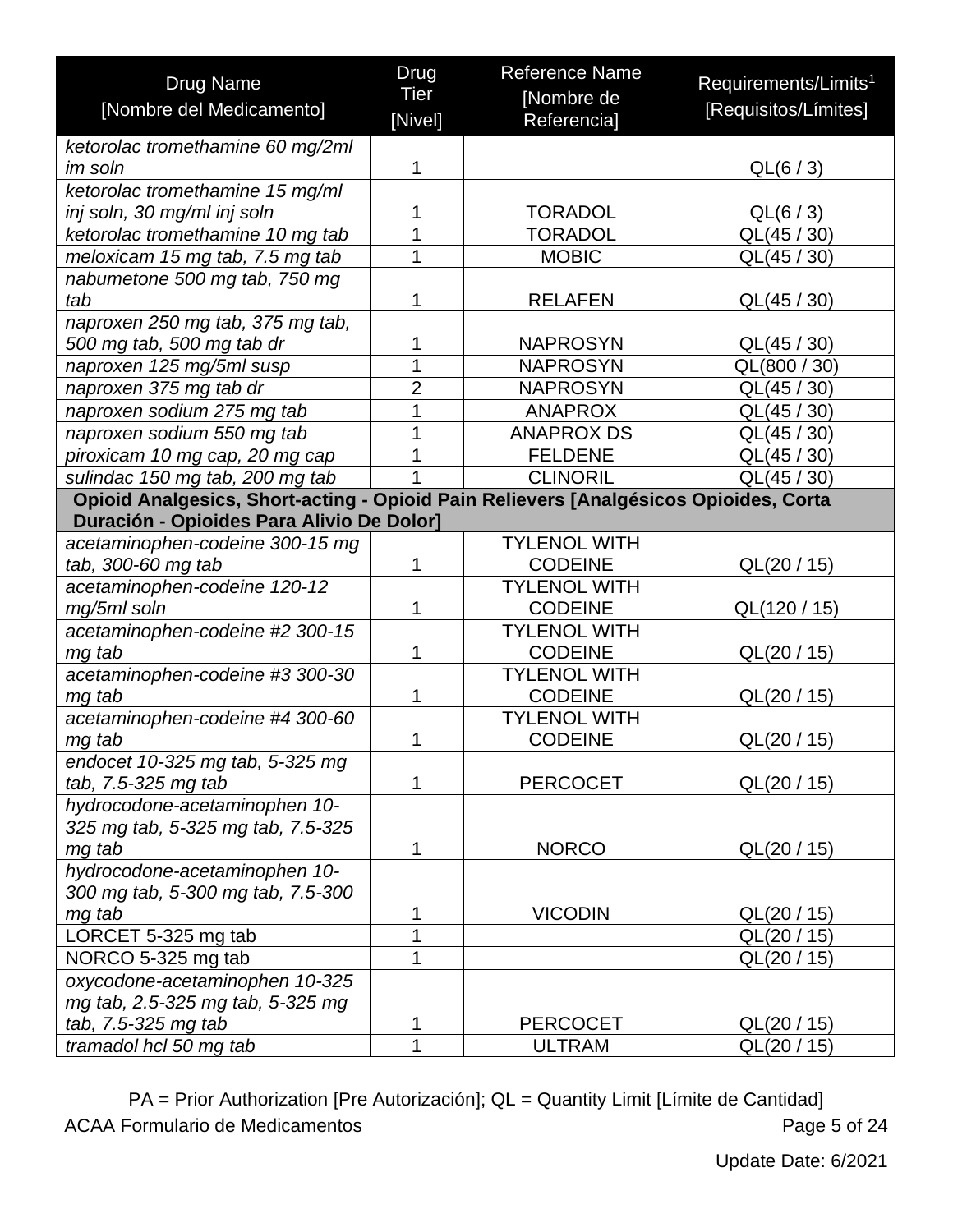| <b>Drug Name</b>                                                                                                                  | Drug           | <b>Reference Name</b> | Requirements/Limits <sup>1</sup> |
|-----------------------------------------------------------------------------------------------------------------------------------|----------------|-----------------------|----------------------------------|
| [Nombre del Medicamento]                                                                                                          | Tier           | [Nombre de            | [Requisitos/Límites]             |
|                                                                                                                                   | [Nivel]        | Referencia]           |                                  |
| ketorolac tromethamine 60 mg/2ml                                                                                                  |                |                       |                                  |
| im soln                                                                                                                           | 1              |                       | QL(6 / 3)                        |
| ketorolac tromethamine 15 mg/ml                                                                                                   |                |                       |                                  |
| inj soln, 30 mg/ml inj soln                                                                                                       | 1<br>1         | <b>TORADOL</b>        | QL(6/3)                          |
| ketorolac tromethamine 10 mg tab                                                                                                  |                | <b>TORADOL</b>        | QL(45 / 30)                      |
| meloxicam 15 mg tab, 7.5 mg tab                                                                                                   | 1              | <b>MOBIC</b>          | QL(45 / 30)                      |
| nabumetone 500 mg tab, 750 mg                                                                                                     |                |                       |                                  |
| tab                                                                                                                               | 1              | <b>RELAFEN</b>        | QL(45 / 30)                      |
| naproxen 250 mg tab, 375 mg tab,                                                                                                  |                |                       |                                  |
| 500 mg tab, 500 mg tab dr                                                                                                         | 1              | <b>NAPROSYN</b>       | QL(45 / 30)                      |
| naproxen 125 mg/5ml susp                                                                                                          | 1              | <b>NAPROSYN</b>       | QL(800 / 30)                     |
| naproxen 375 mg tab dr                                                                                                            | $\overline{2}$ | <b>NAPROSYN</b>       | QL(45 / 30)                      |
| naproxen sodium 275 mg tab                                                                                                        | 1              | <b>ANAPROX</b>        | QL(45 / 30)                      |
| naproxen sodium 550 mg tab                                                                                                        | 1              | <b>ANAPROX DS</b>     | QL(45 / 30)                      |
| piroxicam 10 mg cap, 20 mg cap                                                                                                    | 1              | <b>FELDENE</b>        | QL(45 / 30)                      |
| sulindac 150 mg tab, 200 mg tab                                                                                                   | 1              | <b>CLINORIL</b>       | QL(45 / 30)                      |
| Opioid Analgesics, Short-acting - Opioid Pain Relievers [Analgésicos Opioides, Corta<br>Duración - Opioides Para Alivio De Dolor] |                |                       |                                  |
| acetaminophen-codeine 300-15 mg                                                                                                   |                | <b>TYLENOL WITH</b>   |                                  |
| tab, 300-60 mg tab                                                                                                                | 1              | <b>CODEINE</b>        | QL(20 / 15)                      |
| acetaminophen-codeine 120-12                                                                                                      |                | <b>TYLENOL WITH</b>   |                                  |
| mg/5ml soln                                                                                                                       | 1              | <b>CODEINE</b>        | QL(120 / 15)                     |
| acetaminophen-codeine #2 300-15                                                                                                   |                | <b>TYLENOL WITH</b>   |                                  |
| mg tab                                                                                                                            | 1              | <b>CODEINE</b>        | QL(20 / 15)                      |
| acetaminophen-codeine #3 300-30                                                                                                   |                | <b>TYLENOL WITH</b>   |                                  |
| mg tab                                                                                                                            | 1              | <b>CODEINE</b>        | QL(20/15)                        |
| acetaminophen-codeine #4 300-60                                                                                                   |                | <b>TYLENOL WITH</b>   |                                  |
| mg tab                                                                                                                            | 1              | <b>CODEINE</b>        | QL(20/15)                        |
| endocet 10-325 mg tab, 5-325 mg                                                                                                   |                |                       |                                  |
| tab, 7.5-325 mg tab                                                                                                               | 1              | <b>PERCOCET</b>       | QL(20 / 15)                      |
| hydrocodone-acetaminophen 10-                                                                                                     |                |                       |                                  |
| 325 mg tab, 5-325 mg tab, 7.5-325                                                                                                 |                |                       |                                  |
| mg tab                                                                                                                            | 1              | <b>NORCO</b>          | QL(20 / 15)                      |
| hydrocodone-acetaminophen 10-                                                                                                     |                |                       |                                  |
| 300 mg tab, 5-300 mg tab, 7.5-300                                                                                                 |                |                       |                                  |
| mg tab                                                                                                                            | 1              | <b>VICODIN</b>        | QL(20/15)                        |
| LORCET 5-325 mg tab                                                                                                               | 1              |                       | QL(20/15)                        |
| NORCO 5-325 mg tab                                                                                                                | 1              |                       | QL(20 / 15)                      |
| oxycodone-acetaminophen 10-325                                                                                                    |                |                       |                                  |
| mg tab, 2.5-325 mg tab, 5-325 mg                                                                                                  |                |                       |                                  |
| tab, 7.5-325 mg tab                                                                                                               | 1              | <b>PERCOCET</b>       | QL(20/15)                        |
| tramadol hcl 50 mg tab                                                                                                            | 1              | <b>ULTRAM</b>         | QL(20 / 15)                      |

PA = Prior Authorization [Pre Autorización]; QL = Quantity Limit [Límite de Cantidad] ACAA Formulario de Medicamentos **Page 5 of 24**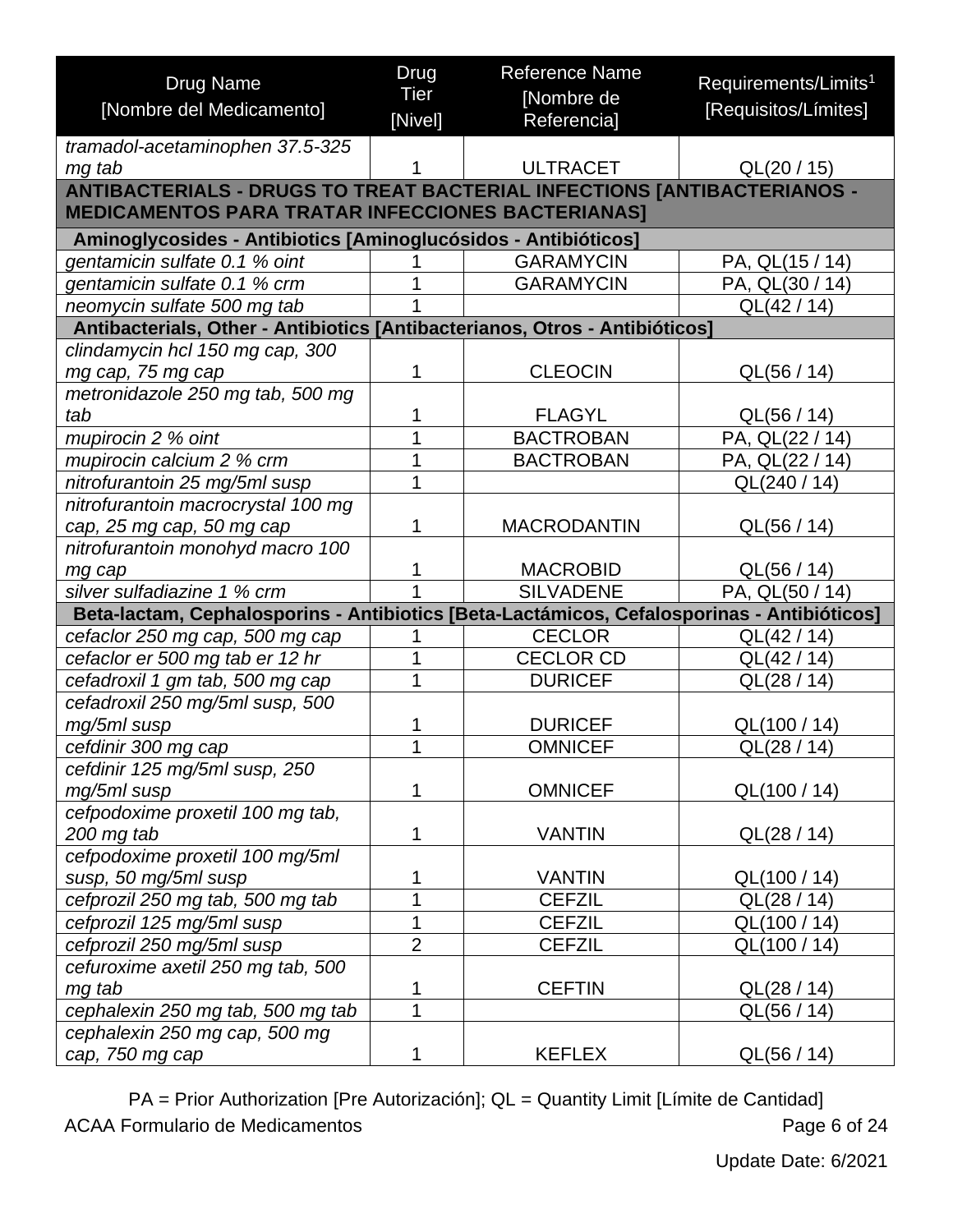<span id="page-5-0"></span>

| <b>Drug Name</b>                                                                           | Drug           | <b>Reference Name</b> | Requirements/Limits <sup>1</sup> |
|--------------------------------------------------------------------------------------------|----------------|-----------------------|----------------------------------|
| [Nombre del Medicamento]                                                                   | <b>Tier</b>    | [Nombre de            | [Requisitos/Límites]             |
|                                                                                            | [Nivel]        | Referencia]           |                                  |
| tramadol-acetaminophen 37.5-325                                                            |                |                       |                                  |
| mg tab                                                                                     |                | <b>ULTRACET</b>       | QL(20/15)                        |
| <b>ANTIBACTERIALS - DRUGS TO TREAT BACTERIAL INFECTIONS [ANTIBACTERIANOS -</b>             |                |                       |                                  |
| <b>MEDICAMENTOS PARA TRATAR INFECCIONES BACTERIANAS]</b>                                   |                |                       |                                  |
| Aminoglycosides - Antibiotics [Aminoglucósidos - Antibióticos]                             |                |                       |                                  |
| gentamicin sulfate 0.1 % oint                                                              | 1              | <b>GARAMYCIN</b>      | PA, QL(15 / 14)                  |
| gentamicin sulfate 0.1 % crm                                                               | 1              | <b>GARAMYCIN</b>      | PA, QL(30 / 14)                  |
| neomycin sulfate 500 mg tab                                                                |                |                       | QL(42 / 14)                      |
| Antibacterials, Other - Antibiotics [Antibacterianos, Otros - Antibióticos]                |                |                       |                                  |
| clindamycin hcl 150 mg cap, 300                                                            |                |                       |                                  |
| mg cap, 75 mg cap                                                                          | 1              | <b>CLEOCIN</b>        | QL(56 / 14)                      |
| metronidazole 250 mg tab, 500 mg                                                           |                |                       |                                  |
| tab                                                                                        | 1              | <b>FLAGYL</b>         | QL(56 / 14)                      |
| mupirocin 2 % oint                                                                         | $\overline{1}$ | <b>BACTROBAN</b>      | PA, QL(22 / 14)                  |
| mupirocin calcium 2 % crm                                                                  | 1              | <b>BACTROBAN</b>      | PA, QL(22 / 14)                  |
| nitrofurantoin 25 mg/5ml susp                                                              | 1              |                       | QL(240 / 14)                     |
| nitrofurantoin macrocrystal 100 mg                                                         |                |                       |                                  |
| cap, 25 mg cap, 50 mg cap                                                                  | 1              | <b>MACRODANTIN</b>    | QL(56 / 14)                      |
| nitrofurantoin monohyd macro 100                                                           |                |                       |                                  |
| mg cap                                                                                     | 1              | <b>MACROBID</b>       | QL(56 / 14)                      |
| silver sulfadiazine 1 % crm                                                                | 1              | <b>SILVADENE</b>      | PA, QL(50 / 14)                  |
| Beta-lactam, Cephalosporins - Antibiotics [Beta-Lactámicos, Cefalosporinas - Antibióticos] |                |                       |                                  |
| cefaclor 250 mg cap, 500 mg cap                                                            | 1              | <b>CECLOR</b>         | QL(42 / 14)                      |
| cefaclor er 500 mg tab er 12 hr                                                            | 1              | <b>CECLOR CD</b>      | QL(42 / 14)                      |
| cefadroxil 1 gm tab, 500 mg cap                                                            | 1              | <b>DURICEF</b>        | QL(28 / 14)                      |
| cefadroxil 250 mg/5ml susp, 500                                                            |                |                       |                                  |
| mg/5ml susp                                                                                | 1              | <b>DURICEF</b>        | QL(100 / 14)                     |
| cefdinir 300 mg cap                                                                        | 1              | <b>OMNICEF</b>        | QL(28 / 14)                      |
| cefdinir 125 mg/5ml susp, 250                                                              |                |                       |                                  |
| mg/5ml susp                                                                                | 1              | <b>OMNICEF</b>        | QL(100 / 14)                     |
| cefpodoxime proxetil 100 mg tab,                                                           | 1              |                       |                                  |
| 200 mg tab                                                                                 |                | <b>VANTIN</b>         | QL(28 / 14)                      |
| cefpodoxime proxetil 100 mg/5ml                                                            | 1              | <b>VANTIN</b>         |                                  |
| susp, 50 mg/5ml susp<br>cefprozil 250 mg tab, 500 mg tab                                   | $\overline{1}$ | <b>CEFZIL</b>         | QL(100 / 14)<br>QL(28/14)        |
|                                                                                            | 1              | <b>CEFZIL</b>         |                                  |
| cefprozil 125 mg/5ml susp<br>cefprozil 250 mg/5ml susp                                     | $\overline{2}$ | <b>CEFZIL</b>         | QL(100 / 14)<br>QL(100 / 14)     |
| cefuroxime axetil 250 mg tab, 500                                                          |                |                       |                                  |
| mg tab                                                                                     | 1              | <b>CEFTIN</b>         | QL(28/14)                        |
| cephalexin 250 mg tab, 500 mg tab                                                          | 1              |                       | QL(56 / 14)                      |
| cephalexin 250 mg cap, 500 mg                                                              |                |                       |                                  |
| cap, 750 mg cap                                                                            | 1              | <b>KEFLEX</b>         | QL(56 / 14)                      |
|                                                                                            |                |                       |                                  |

PA = Prior Authorization [Pre Autorización]; QL = Quantity Limit [Límite de Cantidad] ACAA Formulario de Medicamentos **Page 6 of 24**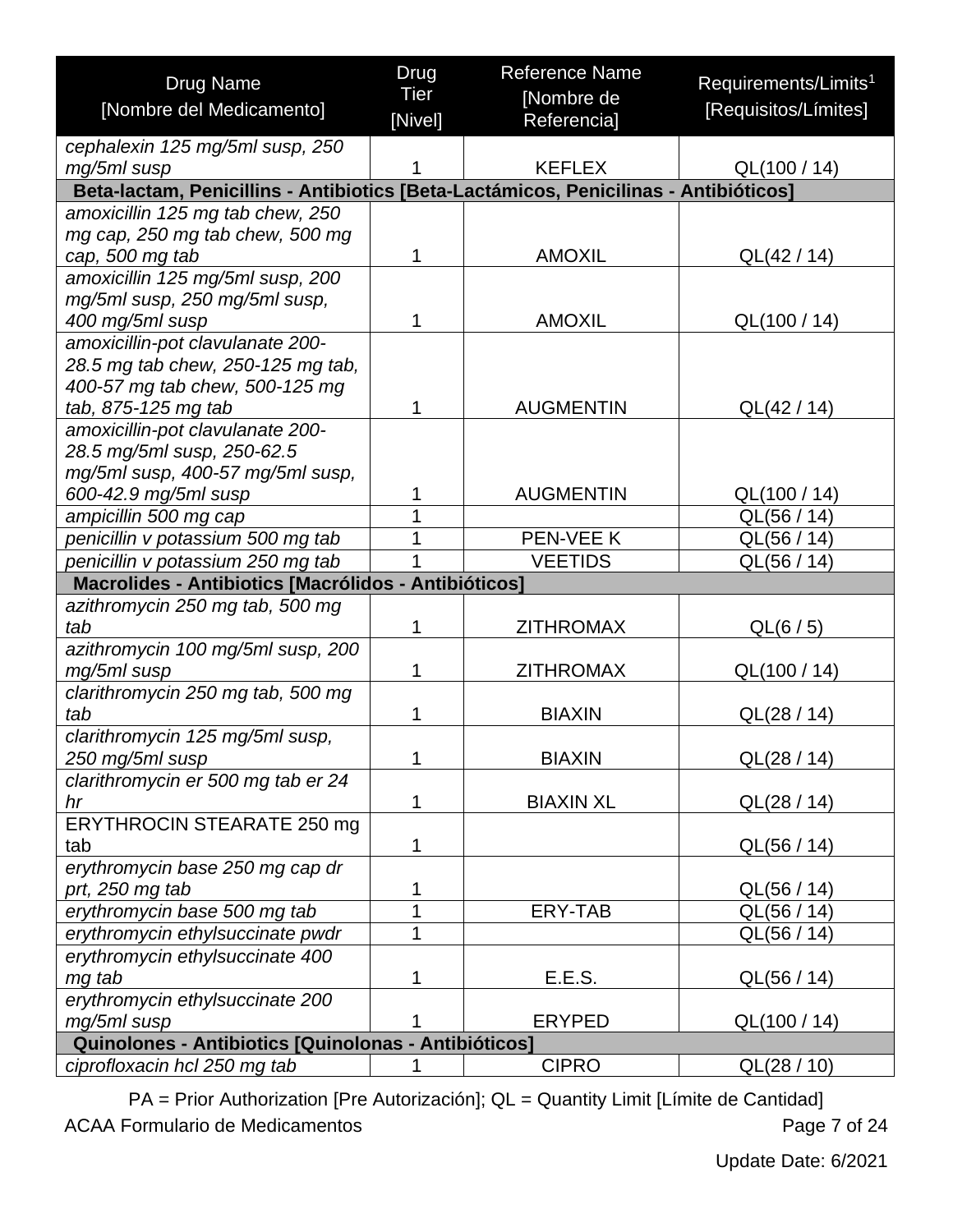| <b>Drug Name</b>                                                                     | <b>Drug</b>     | <b>Reference Name</b>     | Requirements/Limits <sup>1</sup> |
|--------------------------------------------------------------------------------------|-----------------|---------------------------|----------------------------------|
| [Nombre del Medicamento]                                                             | Tier<br>[Nivel] | [Nombre de<br>Referencia] | [Requisitos/Límites]             |
| cephalexin 125 mg/5ml susp, 250                                                      |                 |                           |                                  |
| mg/5ml susp                                                                          | 1               | <b>KEFLEX</b>             | QL(100 / 14)                     |
| Beta-lactam, Penicillins - Antibiotics [Beta-Lactámicos, Penicilinas - Antibióticos] |                 |                           |                                  |
| amoxicillin 125 mg tab chew, 250                                                     |                 |                           |                                  |
| mg cap, 250 mg tab chew, 500 mg                                                      |                 |                           |                                  |
| cap, 500 mg tab                                                                      | 1               | <b>AMOXIL</b>             | QL(42 / 14)                      |
| amoxicillin 125 mg/5ml susp, 200                                                     |                 |                           |                                  |
| mg/5ml susp, 250 mg/5ml susp,                                                        |                 |                           |                                  |
| 400 mg/5ml susp                                                                      | 1               | <b>AMOXIL</b>             | QL(100 / 14)                     |
| amoxicillin-pot clavulanate 200-                                                     |                 |                           |                                  |
| 28.5 mg tab chew, 250-125 mg tab,                                                    |                 |                           |                                  |
| 400-57 mg tab chew, 500-125 mg                                                       |                 |                           |                                  |
| tab, 875-125 mg tab                                                                  | 1               | <b>AUGMENTIN</b>          | QL(42 / 14)                      |
| amoxicillin-pot clavulanate 200-                                                     |                 |                           |                                  |
| 28.5 mg/5ml susp, 250-62.5                                                           |                 |                           |                                  |
| mg/5ml susp, 400-57 mg/5ml susp,                                                     |                 |                           |                                  |
| 600-42.9 mg/5ml susp                                                                 | 1               | <b>AUGMENTIN</b>          | QL(100 / 14)                     |
| ampicillin 500 mg cap                                                                | 1               |                           | QL(56 / 14)                      |
| penicillin v potassium 500 mg tab                                                    | 1               | PEN-VEE K                 | QL(56 / 14)                      |
| penicillin v potassium 250 mg tab                                                    | 1               | <b>VEETIDS</b>            | QL(56 / 14)                      |
| Macrolides - Antibiotics [Macrólidos - Antibióticos]                                 |                 |                           |                                  |
| azithromycin 250 mg tab, 500 mg<br>tab                                               | 1               | <b>ZITHROMAX</b>          | QL(6 / 5)                        |
| azithromycin 100 mg/5ml susp, 200                                                    |                 |                           |                                  |
| mg/5ml susp                                                                          | 1               | <b>ZITHROMAX</b>          | QL(100 / 14)                     |
| clarithromycin 250 mg tab, 500 mg                                                    |                 |                           |                                  |
| tab                                                                                  | 1               | <b>BIAXIN</b>             | QL(28/14)                        |
| clarithromycin 125 mg/5ml susp,                                                      |                 |                           |                                  |
| 250 mg/5ml susp                                                                      | A.              | <b>BIAXIN</b>             | QL(28 / 14)                      |
| clarithromycin er 500 mg tab er 24                                                   |                 |                           |                                  |
| hr                                                                                   | 1               | <b>BIAXIN XL</b>          | QL(28/14)                        |
| ERYTHROCIN STEARATE 250 mg                                                           |                 |                           |                                  |
| tab                                                                                  | 1               |                           | QL(56 / 14)                      |
| erythromycin base 250 mg cap dr                                                      |                 |                           |                                  |
| prt, 250 mg tab                                                                      | 1               |                           | QL(56 / 14)                      |
| erythromycin base 500 mg tab                                                         | 1               | ERY-TAB                   | QL(56 / 14)                      |
| erythromycin ethylsuccinate pwdr                                                     | 1               |                           | QL(56 / 14)                      |
| erythromycin ethylsuccinate 400                                                      |                 |                           |                                  |
| mg tab                                                                               | 1               | E.E.S.                    | QL(56 / 14)                      |
| erythromycin ethylsuccinate 200                                                      |                 |                           |                                  |
| mg/5ml susp                                                                          | 1               | <b>ERYPED</b>             | QL(100 / 14)                     |
| Quinolones - Antibiotics [Quinolonas - Antibióticos]                                 |                 |                           |                                  |
| ciprofloxacin hcl 250 mg tab                                                         |                 | <b>CIPRO</b>              | QL(28/10)                        |

PA = Prior Authorization [Pre Autorización]; QL = Quantity Limit [Límite de Cantidad] ACAA Formulario de Medicamentos **Page 7 of 24**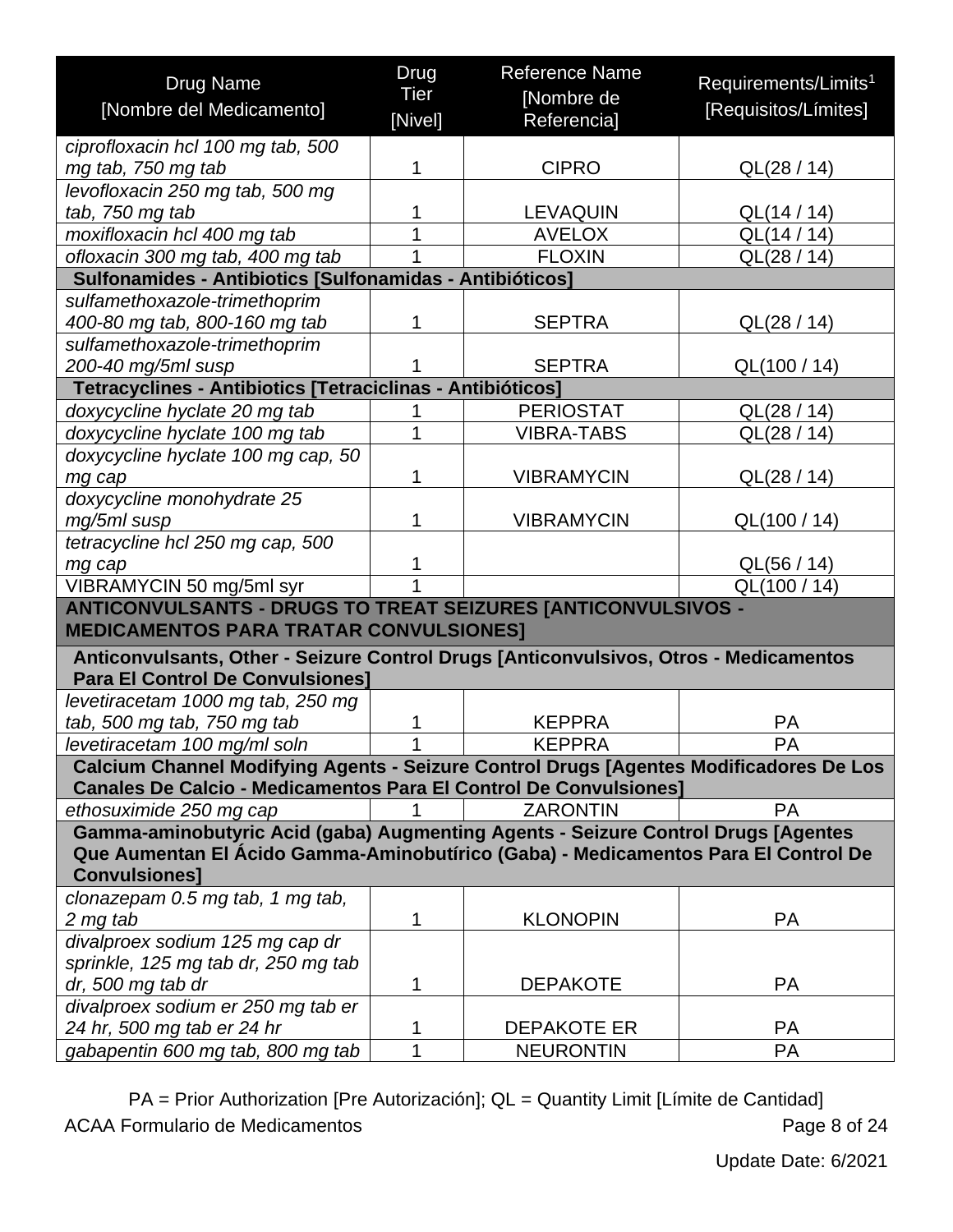| [Nivel]<br>Referencia]<br>ciprofloxacin hcl 100 mg tab, 500<br><b>CIPRO</b><br>mg tab, 750 mg tab<br>1<br>QL(28 / 14)<br>levofloxacin 250 mg tab, 500 mg<br>tab, 750 mg tab<br><b>LEVAQUIN</b><br>1<br>QL(14 / 14)<br>1<br>moxifloxacin hcl 400 mg tab<br><b>AVELOX</b><br>QL(14 / 14)<br>ofloxacin 300 mg tab, 400 mg tab<br><b>FLOXIN</b><br>QL(28 / 14)<br>1<br>Sulfonamides - Antibiotics [Sulfonamidas - Antibióticos]<br>sulfamethoxazole-trimethoprim<br>400-80 mg tab, 800-160 mg tab<br><b>SEPTRA</b><br>1<br>QL(28/14)<br>sulfamethoxazole-trimethoprim<br>200-40 mg/5ml susp<br><b>SEPTRA</b><br>QL(100 / 14)<br>1<br>Tetracyclines - Antibiotics [Tetraciclinas - Antibióticos]<br>doxycycline hyclate 20 mg tab<br><b>PERIOSTAT</b><br>QL(28 / 14)<br>1<br>doxycycline hyclate 100 mg tab<br><b>VIBRA-TABS</b><br>QL(28 / 14)<br>doxycycline hyclate 100 mg cap, 50<br>1<br><b>VIBRAMYCIN</b><br>QL(28/14)<br>mg cap<br>doxycycline monohydrate 25<br><b>VIBRAMYCIN</b><br>mg/5ml susp<br>1<br>QL(100 / 14)<br>tetracycline hcl 250 mg cap, 500<br>QL(56 / 14)<br>1<br>mg cap<br>1<br>VIBRAMYCIN 50 mg/5ml syr<br>QL(100/14)<br><b>ANTICONVULSANTS - DRUGS TO TREAT SEIZURES [ANTICONVULSIVOS -</b><br><b>MEDICAMENTOS PARA TRATAR CONVULSIONES]</b><br>Anticonvulsants, Other - Seizure Control Drugs [Anticonvulsivos, Otros - Medicamentos | <b>Drug Name</b>         | Drug<br>Tier | <b>Reference Name</b><br>[Nombre de | Requirements/Limits <sup>1</sup> |  |  |
|------------------------------------------------------------------------------------------------------------------------------------------------------------------------------------------------------------------------------------------------------------------------------------------------------------------------------------------------------------------------------------------------------------------------------------------------------------------------------------------------------------------------------------------------------------------------------------------------------------------------------------------------------------------------------------------------------------------------------------------------------------------------------------------------------------------------------------------------------------------------------------------------------------------------------------------------------------------------------------------------------------------------------------------------------------------------------------------------------------------------------------------------------------------------------------------------------------------------------------------------------------------------------------------------------------------------------------------------------------|--------------------------|--------------|-------------------------------------|----------------------------------|--|--|
|                                                                                                                                                                                                                                                                                                                                                                                                                                                                                                                                                                                                                                                                                                                                                                                                                                                                                                                                                                                                                                                                                                                                                                                                                                                                                                                                                            | [Nombre del Medicamento] |              |                                     | [Requisitos/Límites]             |  |  |
|                                                                                                                                                                                                                                                                                                                                                                                                                                                                                                                                                                                                                                                                                                                                                                                                                                                                                                                                                                                                                                                                                                                                                                                                                                                                                                                                                            |                          |              |                                     |                                  |  |  |
|                                                                                                                                                                                                                                                                                                                                                                                                                                                                                                                                                                                                                                                                                                                                                                                                                                                                                                                                                                                                                                                                                                                                                                                                                                                                                                                                                            |                          |              |                                     |                                  |  |  |
|                                                                                                                                                                                                                                                                                                                                                                                                                                                                                                                                                                                                                                                                                                                                                                                                                                                                                                                                                                                                                                                                                                                                                                                                                                                                                                                                                            |                          |              |                                     |                                  |  |  |
|                                                                                                                                                                                                                                                                                                                                                                                                                                                                                                                                                                                                                                                                                                                                                                                                                                                                                                                                                                                                                                                                                                                                                                                                                                                                                                                                                            |                          |              |                                     |                                  |  |  |
|                                                                                                                                                                                                                                                                                                                                                                                                                                                                                                                                                                                                                                                                                                                                                                                                                                                                                                                                                                                                                                                                                                                                                                                                                                                                                                                                                            |                          |              |                                     |                                  |  |  |
|                                                                                                                                                                                                                                                                                                                                                                                                                                                                                                                                                                                                                                                                                                                                                                                                                                                                                                                                                                                                                                                                                                                                                                                                                                                                                                                                                            |                          |              |                                     |                                  |  |  |
|                                                                                                                                                                                                                                                                                                                                                                                                                                                                                                                                                                                                                                                                                                                                                                                                                                                                                                                                                                                                                                                                                                                                                                                                                                                                                                                                                            |                          |              |                                     |                                  |  |  |
|                                                                                                                                                                                                                                                                                                                                                                                                                                                                                                                                                                                                                                                                                                                                                                                                                                                                                                                                                                                                                                                                                                                                                                                                                                                                                                                                                            |                          |              |                                     |                                  |  |  |
|                                                                                                                                                                                                                                                                                                                                                                                                                                                                                                                                                                                                                                                                                                                                                                                                                                                                                                                                                                                                                                                                                                                                                                                                                                                                                                                                                            |                          |              |                                     |                                  |  |  |
|                                                                                                                                                                                                                                                                                                                                                                                                                                                                                                                                                                                                                                                                                                                                                                                                                                                                                                                                                                                                                                                                                                                                                                                                                                                                                                                                                            |                          |              |                                     |                                  |  |  |
|                                                                                                                                                                                                                                                                                                                                                                                                                                                                                                                                                                                                                                                                                                                                                                                                                                                                                                                                                                                                                                                                                                                                                                                                                                                                                                                                                            |                          |              |                                     |                                  |  |  |
|                                                                                                                                                                                                                                                                                                                                                                                                                                                                                                                                                                                                                                                                                                                                                                                                                                                                                                                                                                                                                                                                                                                                                                                                                                                                                                                                                            |                          |              |                                     |                                  |  |  |
|                                                                                                                                                                                                                                                                                                                                                                                                                                                                                                                                                                                                                                                                                                                                                                                                                                                                                                                                                                                                                                                                                                                                                                                                                                                                                                                                                            |                          |              |                                     |                                  |  |  |
|                                                                                                                                                                                                                                                                                                                                                                                                                                                                                                                                                                                                                                                                                                                                                                                                                                                                                                                                                                                                                                                                                                                                                                                                                                                                                                                                                            |                          |              |                                     |                                  |  |  |
|                                                                                                                                                                                                                                                                                                                                                                                                                                                                                                                                                                                                                                                                                                                                                                                                                                                                                                                                                                                                                                                                                                                                                                                                                                                                                                                                                            |                          |              |                                     |                                  |  |  |
|                                                                                                                                                                                                                                                                                                                                                                                                                                                                                                                                                                                                                                                                                                                                                                                                                                                                                                                                                                                                                                                                                                                                                                                                                                                                                                                                                            |                          |              |                                     |                                  |  |  |
|                                                                                                                                                                                                                                                                                                                                                                                                                                                                                                                                                                                                                                                                                                                                                                                                                                                                                                                                                                                                                                                                                                                                                                                                                                                                                                                                                            |                          |              |                                     |                                  |  |  |
|                                                                                                                                                                                                                                                                                                                                                                                                                                                                                                                                                                                                                                                                                                                                                                                                                                                                                                                                                                                                                                                                                                                                                                                                                                                                                                                                                            |                          |              |                                     |                                  |  |  |
|                                                                                                                                                                                                                                                                                                                                                                                                                                                                                                                                                                                                                                                                                                                                                                                                                                                                                                                                                                                                                                                                                                                                                                                                                                                                                                                                                            |                          |              |                                     |                                  |  |  |
|                                                                                                                                                                                                                                                                                                                                                                                                                                                                                                                                                                                                                                                                                                                                                                                                                                                                                                                                                                                                                                                                                                                                                                                                                                                                                                                                                            |                          |              |                                     |                                  |  |  |
|                                                                                                                                                                                                                                                                                                                                                                                                                                                                                                                                                                                                                                                                                                                                                                                                                                                                                                                                                                                                                                                                                                                                                                                                                                                                                                                                                            |                          |              |                                     |                                  |  |  |
|                                                                                                                                                                                                                                                                                                                                                                                                                                                                                                                                                                                                                                                                                                                                                                                                                                                                                                                                                                                                                                                                                                                                                                                                                                                                                                                                                            |                          |              |                                     |                                  |  |  |
|                                                                                                                                                                                                                                                                                                                                                                                                                                                                                                                                                                                                                                                                                                                                                                                                                                                                                                                                                                                                                                                                                                                                                                                                                                                                                                                                                            |                          |              |                                     |                                  |  |  |
| <b>Para El Control De Convulsiones]</b>                                                                                                                                                                                                                                                                                                                                                                                                                                                                                                                                                                                                                                                                                                                                                                                                                                                                                                                                                                                                                                                                                                                                                                                                                                                                                                                    |                          |              |                                     |                                  |  |  |
| levetiracetam 1000 mg tab, 250 mg                                                                                                                                                                                                                                                                                                                                                                                                                                                                                                                                                                                                                                                                                                                                                                                                                                                                                                                                                                                                                                                                                                                                                                                                                                                                                                                          |                          |              |                                     |                                  |  |  |
| tab, 500 mg tab, 750 mg tab<br><b>KEPPRA</b><br>1<br><b>PA</b>                                                                                                                                                                                                                                                                                                                                                                                                                                                                                                                                                                                                                                                                                                                                                                                                                                                                                                                                                                                                                                                                                                                                                                                                                                                                                             |                          |              |                                     |                                  |  |  |
| 1<br>levetiracetam 100 mg/ml soln<br><b>KEPPRA</b><br><b>PA</b>                                                                                                                                                                                                                                                                                                                                                                                                                                                                                                                                                                                                                                                                                                                                                                                                                                                                                                                                                                                                                                                                                                                                                                                                                                                                                            |                          |              |                                     |                                  |  |  |
| Calcium Channel Modifying Agents - Seizure Control Drugs [Agentes Modificadores De Los                                                                                                                                                                                                                                                                                                                                                                                                                                                                                                                                                                                                                                                                                                                                                                                                                                                                                                                                                                                                                                                                                                                                                                                                                                                                     |                          |              |                                     |                                  |  |  |
| <b>Canales De Calcio - Medicamentos Para El Control De Convulsiones]</b>                                                                                                                                                                                                                                                                                                                                                                                                                                                                                                                                                                                                                                                                                                                                                                                                                                                                                                                                                                                                                                                                                                                                                                                                                                                                                   |                          |              |                                     |                                  |  |  |
| <b>ZARONTIN</b><br><b>PA</b><br>ethosuximide 250 mg cap                                                                                                                                                                                                                                                                                                                                                                                                                                                                                                                                                                                                                                                                                                                                                                                                                                                                                                                                                                                                                                                                                                                                                                                                                                                                                                    |                          |              |                                     |                                  |  |  |
| Gamma-aminobutyric Acid (gaba) Augmenting Agents - Seizure Control Drugs [Agentes<br>Que Aumentan El Ácido Gamma-Aminobutírico (Gaba) - Medicamentos Para El Control De                                                                                                                                                                                                                                                                                                                                                                                                                                                                                                                                                                                                                                                                                                                                                                                                                                                                                                                                                                                                                                                                                                                                                                                    |                          |              |                                     |                                  |  |  |
| <b>Convulsiones]</b>                                                                                                                                                                                                                                                                                                                                                                                                                                                                                                                                                                                                                                                                                                                                                                                                                                                                                                                                                                                                                                                                                                                                                                                                                                                                                                                                       |                          |              |                                     |                                  |  |  |
| clonazepam 0.5 mg tab, 1 mg tab,                                                                                                                                                                                                                                                                                                                                                                                                                                                                                                                                                                                                                                                                                                                                                                                                                                                                                                                                                                                                                                                                                                                                                                                                                                                                                                                           |                          |              |                                     |                                  |  |  |
| 2 mg tab<br><b>KLONOPIN</b><br><b>PA</b><br>1                                                                                                                                                                                                                                                                                                                                                                                                                                                                                                                                                                                                                                                                                                                                                                                                                                                                                                                                                                                                                                                                                                                                                                                                                                                                                                              |                          |              |                                     |                                  |  |  |
| divalproex sodium 125 mg cap dr                                                                                                                                                                                                                                                                                                                                                                                                                                                                                                                                                                                                                                                                                                                                                                                                                                                                                                                                                                                                                                                                                                                                                                                                                                                                                                                            |                          |              |                                     |                                  |  |  |
| sprinkle, 125 mg tab dr, 250 mg tab                                                                                                                                                                                                                                                                                                                                                                                                                                                                                                                                                                                                                                                                                                                                                                                                                                                                                                                                                                                                                                                                                                                                                                                                                                                                                                                        |                          |              |                                     |                                  |  |  |
| dr, 500 mg tab dr<br><b>DEPAKOTE</b><br><b>PA</b><br>1                                                                                                                                                                                                                                                                                                                                                                                                                                                                                                                                                                                                                                                                                                                                                                                                                                                                                                                                                                                                                                                                                                                                                                                                                                                                                                     |                          |              |                                     |                                  |  |  |
| divalproex sodium er 250 mg tab er<br>24 hr, 500 mg tab er 24 hr<br><b>PA</b><br>1<br><b>DEPAKOTE ER</b>                                                                                                                                                                                                                                                                                                                                                                                                                                                                                                                                                                                                                                                                                                                                                                                                                                                                                                                                                                                                                                                                                                                                                                                                                                                   |                          |              |                                     |                                  |  |  |
| 1<br><b>NEURONTIN</b><br>PA<br>gabapentin 600 mg tab, 800 mg tab                                                                                                                                                                                                                                                                                                                                                                                                                                                                                                                                                                                                                                                                                                                                                                                                                                                                                                                                                                                                                                                                                                                                                                                                                                                                                           |                          |              |                                     |                                  |  |  |

<span id="page-7-0"></span>PA = Prior Authorization [Pre Autorización]; QL = Quantity Limit [Límite de Cantidad] ACAA Formulario de Medicamentos **Page 8 of 24**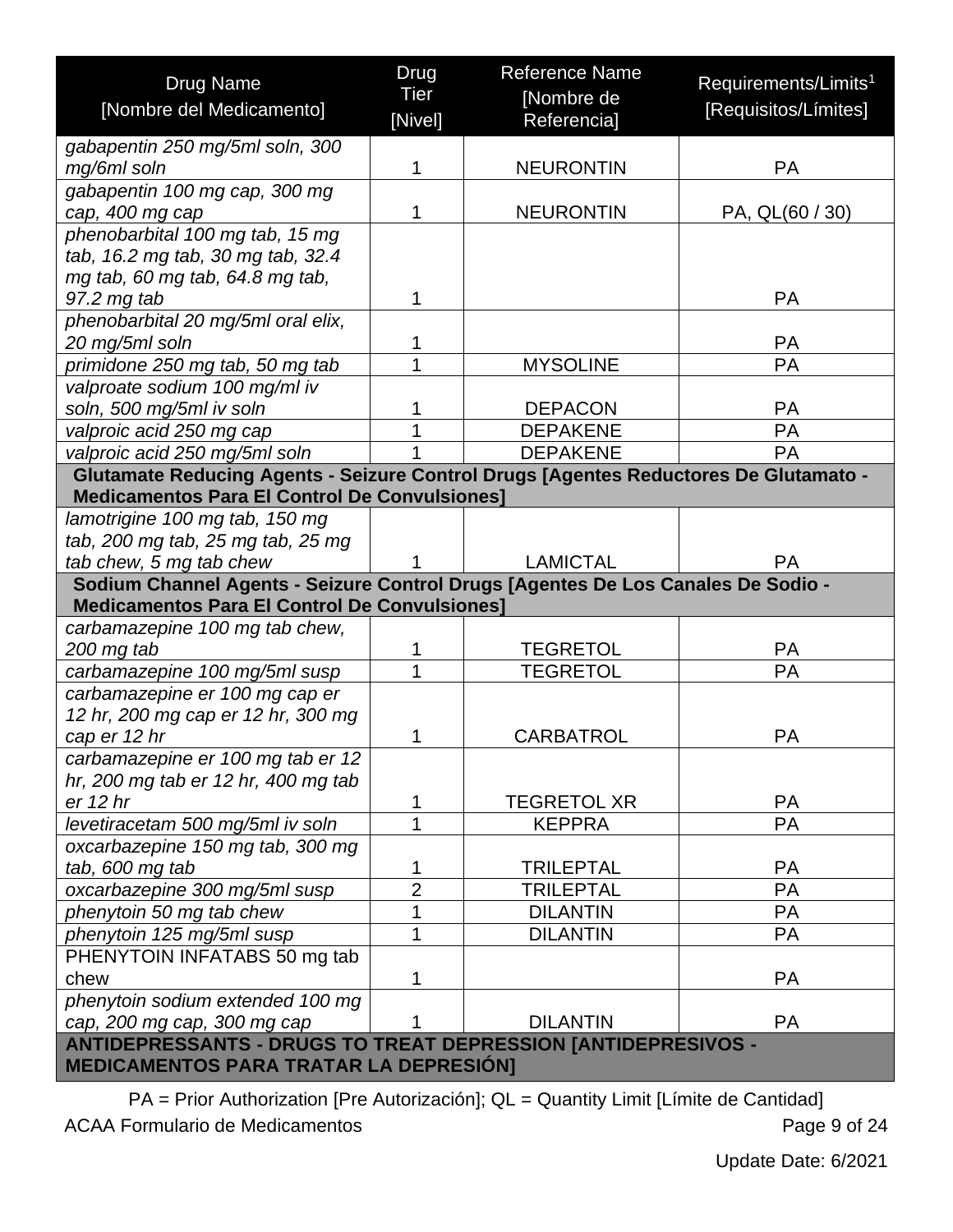| <b>Drug Name</b>                                                                                                                         | Drug<br>Tier        | <b>Reference Name</b><br>[Nombre de | Requirements/Limits <sup>1</sup> |  |  |
|------------------------------------------------------------------------------------------------------------------------------------------|---------------------|-------------------------------------|----------------------------------|--|--|
| [Nombre del Medicamento]                                                                                                                 | [Nivel]             | Referencia]                         | [Requisitos/Límites]             |  |  |
| gabapentin 250 mg/5ml soln, 300                                                                                                          |                     |                                     |                                  |  |  |
| mg/6ml soln                                                                                                                              | 1                   | <b>NEURONTIN</b>                    | <b>PA</b>                        |  |  |
| gabapentin 100 mg cap, 300 mg                                                                                                            |                     |                                     |                                  |  |  |
| cap, 400 mg cap                                                                                                                          | 1                   | <b>NEURONTIN</b>                    | PA, QL(60 / 30)                  |  |  |
| phenobarbital 100 mg tab, 15 mg                                                                                                          |                     |                                     |                                  |  |  |
| tab, 16.2 mg tab, 30 mg tab, 32.4                                                                                                        |                     |                                     |                                  |  |  |
| mg tab, 60 mg tab, 64.8 mg tab,<br>97.2 mg tab                                                                                           | 1                   |                                     | PA                               |  |  |
| phenobarbital 20 mg/5ml oral elix,                                                                                                       |                     |                                     |                                  |  |  |
| 20 mg/5ml soln                                                                                                                           | 1                   |                                     | <b>PA</b>                        |  |  |
| primidone 250 mg tab, 50 mg tab                                                                                                          | 1                   | <b>MYSOLINE</b>                     | PA                               |  |  |
| valproate sodium 100 mg/ml iv                                                                                                            |                     |                                     |                                  |  |  |
| soln, 500 mg/5ml iv soln                                                                                                                 | 1                   | <b>DEPACON</b>                      | <b>PA</b>                        |  |  |
| valproic acid 250 mg cap                                                                                                                 | 1                   | <b>DEPAKENE</b>                     | PA                               |  |  |
| valproic acid 250 mg/5ml soln                                                                                                            |                     | <b>DEPAKENE</b>                     | <b>PA</b>                        |  |  |
| Glutamate Reducing Agents - Seizure Control Drugs [Agentes Reductores De Glutamato -                                                     |                     |                                     |                                  |  |  |
| <b>Medicamentos Para El Control De Convulsiones]</b>                                                                                     |                     |                                     |                                  |  |  |
| lamotrigine 100 mg tab, 150 mg                                                                                                           |                     |                                     |                                  |  |  |
| tab, 200 mg tab, 25 mg tab, 25 mg                                                                                                        |                     |                                     |                                  |  |  |
| tab chew, 5 mg tab chew                                                                                                                  |                     | <b>LAMICTAL</b>                     | <b>PA</b>                        |  |  |
| Sodium Channel Agents - Seizure Control Drugs [Agentes De Los Canales De Sodio -<br><b>Medicamentos Para El Control De Convulsiones]</b> |                     |                                     |                                  |  |  |
| carbamazepine 100 mg tab chew,                                                                                                           |                     |                                     |                                  |  |  |
| 200 mg tab                                                                                                                               | 1                   | <b>TEGRETOL</b>                     | <b>PA</b>                        |  |  |
| carbamazepine 100 mg/5ml susp                                                                                                            | 1                   | <b>TEGRETOL</b>                     | <b>PA</b>                        |  |  |
| carbamazepine er 100 mg cap er                                                                                                           |                     |                                     |                                  |  |  |
| 12 hr, 200 mg cap er 12 hr, 300 mg                                                                                                       |                     |                                     |                                  |  |  |
| cap er 12 hr                                                                                                                             | 1                   | <b>CARBATROL</b>                    | <b>PA</b>                        |  |  |
| carbamazepine er 100 mg tab er 12                                                                                                        |                     |                                     |                                  |  |  |
| hr, 200 mg tab er 12 hr, 400 mg tab<br>er 12 hr                                                                                          |                     | <b>TEGRETOL XR</b>                  | <b>PA</b>                        |  |  |
| levetiracetam 500 mg/5ml iv soln                                                                                                         | 1<br>$\overline{1}$ | <b>KEPPRA</b>                       | PA                               |  |  |
| oxcarbazepine 150 mg tab, 300 mg                                                                                                         |                     |                                     |                                  |  |  |
| tab, 600 mg tab                                                                                                                          | 1                   | <b>TRILEPTAL</b>                    | <b>PA</b>                        |  |  |
| oxcarbazepine 300 mg/5ml susp                                                                                                            | $\overline{2}$      | <b>TRILEPTAL</b>                    | PA                               |  |  |
| phenytoin 50 mg tab chew                                                                                                                 | $\overline{1}$      | <b>DILANTIN</b>                     | PA                               |  |  |
| phenytoin 125 mg/5ml susp                                                                                                                | $\overline{1}$      | <b>DILANTIN</b>                     | PA                               |  |  |
| PHENYTOIN INFATABS 50 mg tab                                                                                                             |                     |                                     |                                  |  |  |
| chew                                                                                                                                     | 1                   |                                     | <b>PA</b>                        |  |  |
| phenytoin sodium extended 100 mg                                                                                                         |                     |                                     |                                  |  |  |
| cap, 200 mg cap, 300 mg cap                                                                                                              | 1                   | <b>DILANTIN</b>                     | <b>PA</b>                        |  |  |
| <b>ANTIDEPRESSANTS - DRUGS TO TREAT DEPRESSION [ANTIDEPRESIVOS -</b><br><b>MEDICAMENTOS PARA TRATAR LA DEPRESIÓN]</b>                    |                     |                                     |                                  |  |  |

<span id="page-8-0"></span>PA = Prior Authorization [Pre Autorización]; QL = Quantity Limit [Límite de Cantidad] ACAA Formulario de Medicamentos **Page 9 of 24**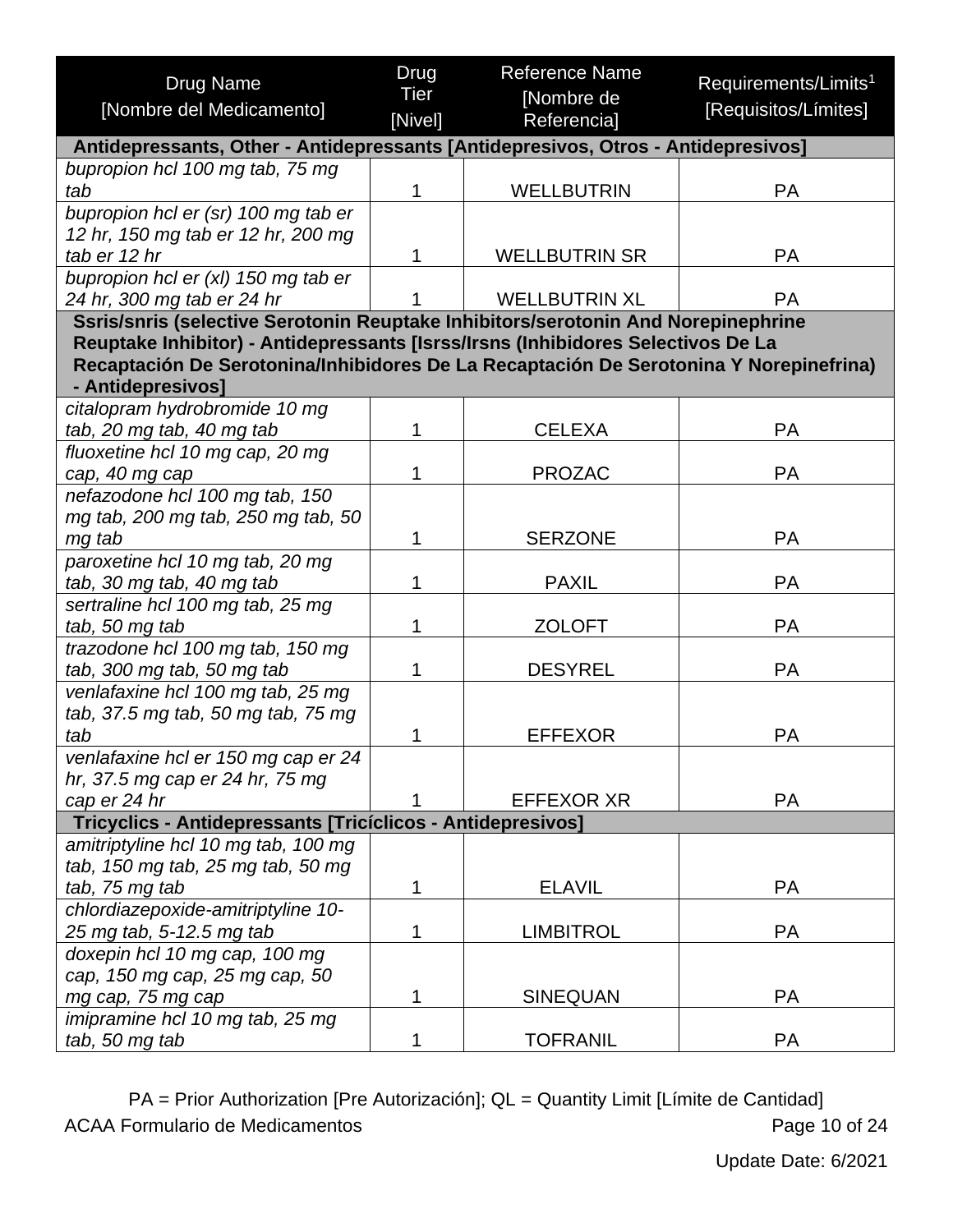| <b>Drug Name</b>                                                                       | Drug        | <b>Reference Name</b> | Requirements/Limits <sup>1</sup> |
|----------------------------------------------------------------------------------------|-------------|-----------------------|----------------------------------|
|                                                                                        | <b>Tier</b> | [Nombre de            |                                  |
| [Nombre del Medicamento]                                                               | [Nivel]     | Referencia]           | [Requisitos/Límites]             |
| Antidepressants, Other - Antidepressants [Antidepresivos, Otros - Antidepresivos]      |             |                       |                                  |
| bupropion hcl 100 mg tab, 75 mg                                                        |             |                       |                                  |
| tab                                                                                    | 1           | <b>WELLBUTRIN</b>     | PA                               |
| bupropion hcl er (sr) 100 mg tab er                                                    |             |                       |                                  |
| 12 hr, 150 mg tab er 12 hr, 200 mg                                                     |             |                       |                                  |
| tab er 12 hr                                                                           | 1           | <b>WELLBUTRIN SR</b>  | PA                               |
| bupropion hcl er (xl) 150 mg tab er                                                    |             |                       |                                  |
| 24 hr, 300 mg tab er 24 hr                                                             |             | <b>WELLBUTRIN XL</b>  | <b>PA</b>                        |
| Ssris/snris (selective Serotonin Reuptake Inhibitors/serotonin And Norepinephrine      |             |                       |                                  |
| Reuptake Inhibitor) - Antidepressants [Isrss/Irsns (Inhibidores Selectivos De La       |             |                       |                                  |
| Recaptación De Serotonina/Inhibidores De La Recaptación De Serotonina Y Norepinefrina) |             |                       |                                  |
| - Antidepresivos]                                                                      |             |                       |                                  |
| citalopram hydrobromide 10 mg                                                          |             |                       |                                  |
| tab, 20 mg tab, 40 mg tab                                                              | 1           | <b>CELEXA</b>         | <b>PA</b>                        |
| fluoxetine hcl 10 mg cap, 20 mg                                                        |             |                       |                                  |
| cap, 40 mg cap                                                                         | 1           | <b>PROZAC</b>         | <b>PA</b>                        |
| nefazodone hcl 100 mg tab, 150                                                         |             |                       |                                  |
| mg tab, 200 mg tab, 250 mg tab, 50                                                     |             |                       |                                  |
| mg tab                                                                                 | 1           | <b>SERZONE</b>        | <b>PA</b>                        |
| paroxetine hcl 10 mg tab, 20 mg                                                        |             |                       |                                  |
| tab, 30 mg tab, 40 mg tab                                                              | 1           | <b>PAXIL</b>          | PA                               |
| sertraline hcl 100 mg tab, 25 mg                                                       |             |                       |                                  |
| tab, 50 mg tab                                                                         | 1           | <b>ZOLOFT</b>         | <b>PA</b>                        |
| trazodone hcl 100 mg tab, 150 mg                                                       |             |                       |                                  |
| tab, 300 mg tab, 50 mg tab                                                             | 1           | <b>DESYREL</b>        | PA                               |
| venlafaxine hcl 100 mg tab, 25 mg                                                      |             |                       |                                  |
| tab, 37.5 mg tab, 50 mg tab, 75 mg                                                     |             |                       |                                  |
| tab                                                                                    | 1           | <b>EFFEXOR</b>        | <b>PA</b>                        |
| venlafaxine hcl er 150 mg cap er 24                                                    |             |                       |                                  |
| hr, 37.5 mg cap er 24 hr, 75 mg                                                        |             |                       |                                  |
| cap er 24 hr                                                                           | 1           | <b>EFFEXOR XR</b>     | <b>PA</b>                        |
| Tricyclics - Antidepressants [Tricíclicos - Antidepresivos]                            |             |                       |                                  |
| amitriptyline hcl 10 mg tab, 100 mg                                                    |             |                       |                                  |
| tab, 150 mg tab, 25 mg tab, 50 mg                                                      |             |                       |                                  |
| tab, 75 mg tab                                                                         | 1           | <b>ELAVIL</b>         | <b>PA</b>                        |
| chlordiazepoxide-amitriptyline 10-                                                     |             |                       |                                  |
| 25 mg tab, 5-12.5 mg tab                                                               | 1           | <b>LIMBITROL</b>      | <b>PA</b>                        |
| doxepin hcl 10 mg cap, 100 mg                                                          |             |                       |                                  |
| cap, 150 mg cap, 25 mg cap, 50                                                         |             |                       |                                  |
| mg cap, 75 mg cap                                                                      | 1           | <b>SINEQUAN</b>       | <b>PA</b>                        |
| imipramine hcl 10 mg tab, 25 mg                                                        |             |                       |                                  |
| tab, 50 mg tab                                                                         | 1           | <b>TOFRANIL</b>       | PA                               |

PA = Prior Authorization [Pre Autorización]; QL = Quantity Limit [Límite de Cantidad] ACAA Formulario de Medicamentos **Page 10 of 24**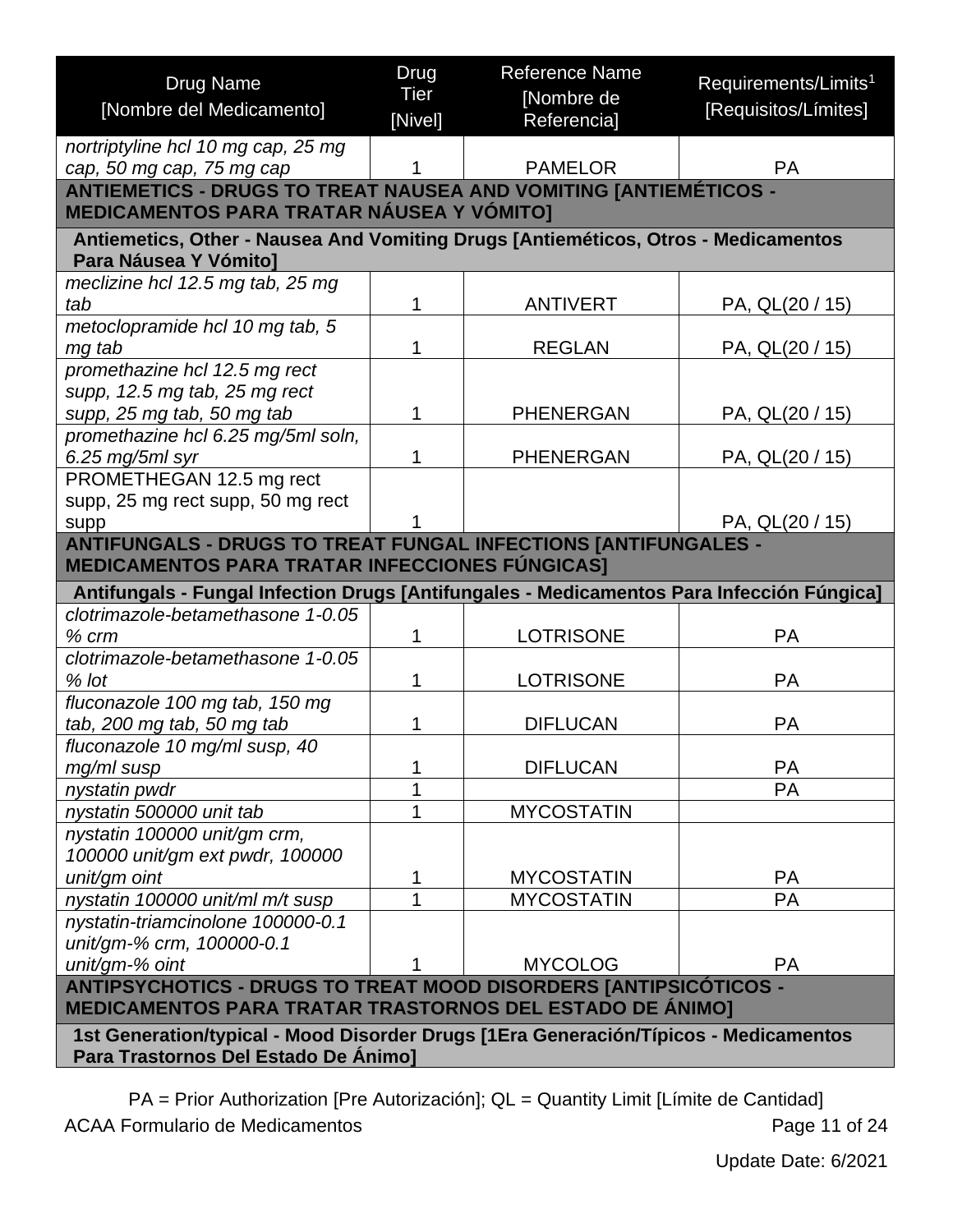<span id="page-10-1"></span><span id="page-10-0"></span>

| <b>Drug Name</b>                                                                                                                    | Drug        | <b>Reference Name</b> | Requirements/Limits <sup>1</sup> |
|-------------------------------------------------------------------------------------------------------------------------------------|-------------|-----------------------|----------------------------------|
| [Nombre del Medicamento]                                                                                                            | <b>Tier</b> | [Nombre de            | [Requisitos/Límites]             |
|                                                                                                                                     | [Nivel]     | Referencia]           |                                  |
| nortriptyline hcl 10 mg cap, 25 mg                                                                                                  |             |                       |                                  |
| cap, 50 mg cap, 75 mg cap                                                                                                           |             | <b>PAMELOR</b>        | <b>PA</b>                        |
| <b>ANTIEMETICS - DRUGS TO TREAT NAUSEA AND VOMITING [ANTIEMÉTICOS -</b><br><b>MEDICAMENTOS PARA TRATAR NÁUSEA Y VÓMITO]</b>         |             |                       |                                  |
| Antiemetics, Other - Nausea And Vomiting Drugs [Antieméticos, Otros - Medicamentos<br>Para Náusea Y Vómito]                         |             |                       |                                  |
| meclizine hcl 12.5 mg tab, 25 mg                                                                                                    |             |                       |                                  |
| tab                                                                                                                                 |             | <b>ANTIVERT</b>       | PA, QL(20 / 15)                  |
| metoclopramide hcl 10 mg tab, 5                                                                                                     |             |                       |                                  |
| mg tab                                                                                                                              |             | <b>REGLAN</b>         | PA, QL(20 / 15)                  |
| promethazine hcl 12.5 mg rect                                                                                                       |             |                       |                                  |
| supp, 12.5 mg tab, 25 mg rect                                                                                                       |             |                       |                                  |
| supp, 25 mg tab, 50 mg tab                                                                                                          |             | <b>PHENERGAN</b>      | PA, QL(20 / 15)                  |
| promethazine hcl 6.25 mg/5ml soln,                                                                                                  | 1           |                       |                                  |
| 6.25 mg/5ml syr                                                                                                                     |             | <b>PHENERGAN</b>      | PA, QL(20 / 15)                  |
| PROMETHEGAN 12.5 mg rect<br>supp, 25 mg rect supp, 50 mg rect                                                                       |             |                       |                                  |
| supp                                                                                                                                |             |                       | PA, QL(20 / 15)                  |
| <b>ANTIFUNGALS - DRUGS TO TREAT FUNGAL INFECTIONS [ANTIFUNGALES -</b>                                                               |             |                       |                                  |
| <b>MEDICAMENTOS PARA TRATAR INFECCIONES FÚNGICAS]</b>                                                                               |             |                       |                                  |
| Antifungals - Fungal Infection Drugs [Antifungales - Medicamentos Para Infección Fúngica]                                           |             |                       |                                  |
| clotrimazole-betamethasone 1-0.05                                                                                                   |             |                       |                                  |
| $%$ $cm$                                                                                                                            | 1           | <b>LOTRISONE</b>      | <b>PA</b>                        |
| clotrimazole-betamethasone 1-0.05                                                                                                   |             |                       |                                  |
| $%$ lot                                                                                                                             | 1           | <b>LOTRISONE</b>      | <b>PA</b>                        |
| fluconazole 100 mg tab, 150 mg                                                                                                      |             |                       |                                  |
| tab, 200 mg tab, 50 mg tab                                                                                                          | 1           | <b>DIFLUCAN</b>       | <b>PA</b>                        |
| fluconazole 10 mg/ml susp, 40                                                                                                       |             |                       |                                  |
| mg/ml susp                                                                                                                          |             | <b>DIFLUCAN</b>       | <b>PA</b>                        |
| nystatin pwdr                                                                                                                       |             |                       | <b>PA</b>                        |
| nystatin 500000 unit tab                                                                                                            |             | <b>MYCOSTATIN</b>     |                                  |
| nystatin 100000 unit/gm crm,                                                                                                        |             |                       |                                  |
| 100000 unit/gm ext pwdr, 100000                                                                                                     |             |                       |                                  |
| unit/gm oint                                                                                                                        | 1           | <b>MYCOSTATIN</b>     | <b>PA</b>                        |
| nystatin 100000 unit/ml m/t susp                                                                                                    |             | <b>MYCOSTATIN</b>     | <b>PA</b>                        |
| nystatin-triamcinolone 100000-0.1<br>unit/gm-% crm, 100000-0.1                                                                      |             |                       |                                  |
| unit/gm-% oint                                                                                                                      |             | <b>MYCOLOG</b>        | <b>PA</b>                        |
|                                                                                                                                     |             |                       |                                  |
| ANTIPSYCHOTICS - DRUGS TO TREAT MOOD DISORDERS [ANTIPSICÓTICOS -<br><b>MEDICAMENTOS PARA TRATAR TRASTORNOS DEL ESTADO DE ÁNIMO]</b> |             |                       |                                  |
| 1st Generation/typical - Mood Disorder Drugs [1Era Generación/Típicos - Medicamentos                                                |             |                       |                                  |
| Para Trastornos Del Estado De Ánimo]                                                                                                |             |                       |                                  |

<span id="page-10-2"></span>PA = Prior Authorization [Pre Autorización]; QL = Quantity Limit [Límite de Cantidad] ACAA Formulario de Medicamentos **Page 11 of 24**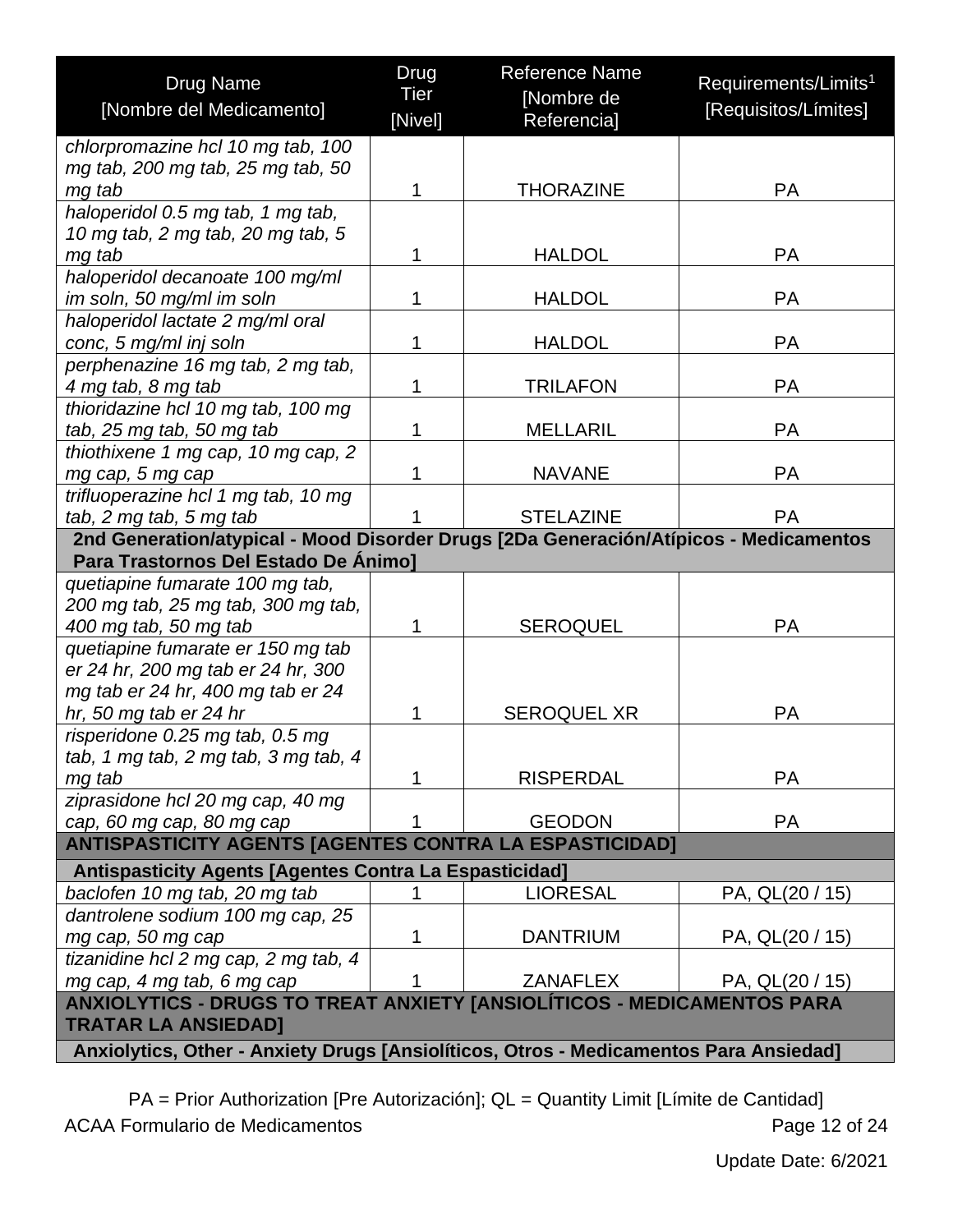| <b>Drug Name</b><br>[Nombre del Medicamento]                                                         | Drug<br>Tier | <b>Reference Name</b><br>[Nombre de | Requirements/Limits <sup>1</sup><br>[Requisitos/Límites] |  |  |
|------------------------------------------------------------------------------------------------------|--------------|-------------------------------------|----------------------------------------------------------|--|--|
|                                                                                                      | [Nivel]      | Referencia]                         |                                                          |  |  |
| chlorpromazine hcl 10 mg tab, 100                                                                    |              |                                     |                                                          |  |  |
| mg tab, 200 mg tab, 25 mg tab, 50                                                                    |              |                                     |                                                          |  |  |
| mg tab                                                                                               | 1            | <b>THORAZINE</b>                    | <b>PA</b>                                                |  |  |
| haloperidol 0.5 mg tab, 1 mg tab,                                                                    |              |                                     |                                                          |  |  |
| 10 mg tab, 2 mg tab, 20 mg tab, 5                                                                    |              |                                     |                                                          |  |  |
| mg tab                                                                                               | 1            | <b>HALDOL</b>                       | <b>PA</b>                                                |  |  |
| haloperidol decanoate 100 mg/ml                                                                      |              |                                     |                                                          |  |  |
| im soln, 50 mg/ml im soln                                                                            | 1            | <b>HALDOL</b>                       | <b>PA</b>                                                |  |  |
| haloperidol lactate 2 mg/ml oral                                                                     |              |                                     |                                                          |  |  |
| conc, 5 mg/ml inj soln                                                                               | 1            | <b>HALDOL</b>                       | <b>PA</b>                                                |  |  |
| perphenazine 16 mg tab, 2 mg tab,                                                                    |              |                                     |                                                          |  |  |
| 4 mg tab, 8 mg tab                                                                                   | 1            | <b>TRILAFON</b>                     | <b>PA</b>                                                |  |  |
| thioridazine hcl 10 mg tab, 100 mg                                                                   |              |                                     |                                                          |  |  |
| tab, 25 mg tab, 50 mg tab                                                                            | 1            | <b>MELLARIL</b>                     | <b>PA</b>                                                |  |  |
| thiothixene 1 mg cap, 10 mg cap, 2                                                                   |              |                                     |                                                          |  |  |
| mg cap, 5 mg cap                                                                                     | 1            | <b>NAVANE</b>                       | <b>PA</b>                                                |  |  |
| trifluoperazine hcl 1 mg tab, 10 mg                                                                  |              |                                     |                                                          |  |  |
| tab, 2 mg tab, 5 mg tab                                                                              | 1            | <b>STELAZINE</b>                    | <b>PA</b>                                                |  |  |
| 2nd Generation/atypical - Mood Disorder Drugs [2Da Generación/Atípicos - Medicamentos                |              |                                     |                                                          |  |  |
| Para Trastornos Del Estado De Animo]                                                                 |              |                                     |                                                          |  |  |
| quetiapine fumarate 100 mg tab,                                                                      |              |                                     |                                                          |  |  |
| 200 mg tab, 25 mg tab, 300 mg tab,                                                                   |              |                                     |                                                          |  |  |
| 400 mg tab, 50 mg tab                                                                                | 1            | <b>SEROQUEL</b>                     | <b>PA</b>                                                |  |  |
| quetiapine fumarate er 150 mg tab                                                                    |              |                                     |                                                          |  |  |
| er 24 hr, 200 mg tab er 24 hr, 300                                                                   |              |                                     |                                                          |  |  |
| mg tab er 24 hr, 400 mg tab er 24                                                                    |              |                                     |                                                          |  |  |
| hr, 50 mg tab er 24 hr                                                                               | 1            | <b>SEROQUEL XR</b>                  | <b>PA</b>                                                |  |  |
| risperidone 0.25 mg tab, 0.5 mg                                                                      |              |                                     |                                                          |  |  |
| tab, 1 mg tab, 2 mg tab, 3 mg tab, 4                                                                 | 1            | <b>RISPERDAL</b>                    | <b>PA</b>                                                |  |  |
| mg tab                                                                                               |              |                                     |                                                          |  |  |
| ziprasidone hcl 20 mg cap, 40 mg                                                                     | 1            | <b>GEODON</b>                       | <b>PA</b>                                                |  |  |
| cap, 60 mg cap, 80 mg cap                                                                            |              |                                     |                                                          |  |  |
| <b>ANTISPASTICITY AGENTS [AGENTES CONTRA LA ESPASTICIDAD]</b>                                        |              |                                     |                                                          |  |  |
| <b>Antispasticity Agents [Agentes Contra La Espasticidad]</b>                                        |              |                                     |                                                          |  |  |
| baclofen 10 mg tab, 20 mg tab                                                                        | 1            | <b>LIORESAL</b>                     | PA, QL(20 / 15)                                          |  |  |
| dantrolene sodium 100 mg cap, 25                                                                     |              |                                     |                                                          |  |  |
| mg cap, 50 mg cap                                                                                    | 1            | <b>DANTRIUM</b>                     | PA, QL(20 / 15)                                          |  |  |
| tizanidine hcl 2 mg cap, 2 mg tab, 4                                                                 |              |                                     |                                                          |  |  |
| mg cap, 4 mg tab, 6 mg cap                                                                           |              | <b>ZANAFLEX</b>                     | PA, QL(20 / 15)                                          |  |  |
| ANXIOLYTICS - DRUGS TO TREAT ANXIETY [ANSIOLÍTICOS - MEDICAMENTOS PARA<br><b>TRATAR LA ANSIEDAD]</b> |              |                                     |                                                          |  |  |
| Anxiolytics, Other - Anxiety Drugs [Ansiolíticos, Otros - Medicamentos Para Ansiedad]                |              |                                     |                                                          |  |  |

<span id="page-11-1"></span><span id="page-11-0"></span>PA = Prior Authorization [Pre Autorización]; QL = Quantity Limit [Límite de Cantidad] ACAA Formulario de Medicamentos **Page 12 of 24**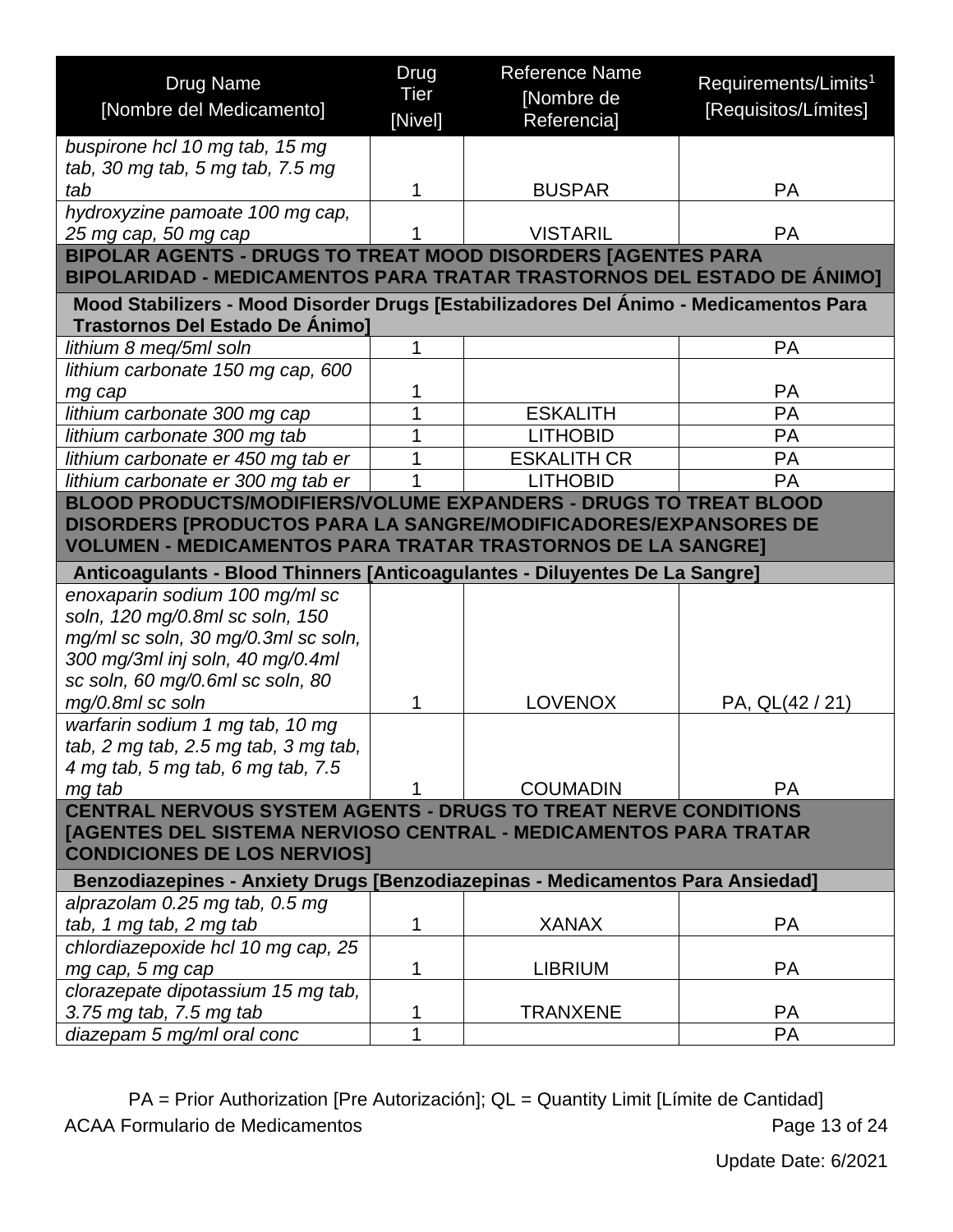<span id="page-12-1"></span><span id="page-12-0"></span>

| <b>Drug Name</b>                                                                                                                              | Drug<br><b>Tier</b> | <b>Reference Name</b><br>[Nombre de | Requirements/Limits <sup>1</sup> |  |
|-----------------------------------------------------------------------------------------------------------------------------------------------|---------------------|-------------------------------------|----------------------------------|--|
| [Nombre del Medicamento]                                                                                                                      | [Nivel]             | Referencia]                         | [Requisitos/Límites]             |  |
| buspirone hcl 10 mg tab, 15 mg                                                                                                                |                     |                                     |                                  |  |
| tab, 30 mg tab, 5 mg tab, 7.5 mg                                                                                                              |                     |                                     |                                  |  |
| tab                                                                                                                                           | 1                   | <b>BUSPAR</b>                       | <b>PA</b>                        |  |
| hydroxyzine pamoate 100 mg cap,                                                                                                               |                     |                                     |                                  |  |
| 25 mg cap, 50 mg cap                                                                                                                          |                     | <b>VISTARIL</b>                     | <b>PA</b>                        |  |
| <b>BIPOLAR AGENTS - DRUGS TO TREAT MOOD DISORDERS [AGENTES PARA</b><br>BIPOLARIDAD - MEDICAMENTOS PARA TRATAR TRASTORNOS DEL ESTADO DE ÁNIMO] |                     |                                     |                                  |  |
| Mood Stabilizers - Mood Disorder Drugs [Estabilizadores Del Ánimo - Medicamentos Para                                                         |                     |                                     |                                  |  |
| <b>Trastornos Del Estado De Ánimo]</b>                                                                                                        |                     |                                     |                                  |  |
| lithium 8 meg/5ml soln                                                                                                                        | 1                   |                                     | <b>PA</b>                        |  |
| lithium carbonate 150 mg cap, 600                                                                                                             |                     |                                     |                                  |  |
| mg cap                                                                                                                                        | 1                   |                                     | <b>PA</b>                        |  |
| lithium carbonate 300 mg cap                                                                                                                  |                     | <b>ESKALITH</b>                     | <b>PA</b>                        |  |
| lithium carbonate 300 mg tab                                                                                                                  | 1                   | <b>LITHOBID</b>                     | <b>PA</b>                        |  |
| lithium carbonate er 450 mg tab er                                                                                                            |                     | <b>ESKALITH CR</b>                  | PA                               |  |
| lithium carbonate er 300 mg tab er                                                                                                            |                     | <b>LITHOBID</b>                     | <b>PA</b>                        |  |
| BLOOD PRODUCTS/MODIFIERS/VOLUME EXPANDERS - DRUGS TO TREAT BLOOD                                                                              |                     |                                     |                                  |  |
| <b>DISORDERS [PRODUCTOS PARA LA SANGRE/MODIFICADORES/EXPANSORES DE</b><br><b>VOLUMEN - MEDICAMENTOS PARA TRATAR TRASTORNOS DE LA SANGRE]</b>  |                     |                                     |                                  |  |
| Anticoagulants - Blood Thinners [Anticoagulantes - Diluyentes De La Sangre]                                                                   |                     |                                     |                                  |  |
| enoxaparin sodium 100 mg/ml sc                                                                                                                |                     |                                     |                                  |  |
| soln, 120 mg/0.8ml sc soln, 150                                                                                                               |                     |                                     |                                  |  |
| mg/ml sc soln, 30 mg/0.3ml sc soln,                                                                                                           |                     |                                     |                                  |  |
| 300 mg/3ml inj soln, 40 mg/0.4ml                                                                                                              |                     |                                     |                                  |  |
| sc soln, 60 mg/0.6ml sc soln, 80                                                                                                              |                     |                                     |                                  |  |
| mg/0.8ml sc soln                                                                                                                              | 1                   | <b>LOVENOX</b>                      | PA, QL(42 / 21)                  |  |
| warfarin sodium 1 mg tab, 10 mg                                                                                                               |                     |                                     |                                  |  |
| tab, 2 mg tab, 2.5 mg tab, 3 mg tab,                                                                                                          |                     |                                     |                                  |  |
| 4 mg tab, 5 mg tab, 6 mg tab, 7.5                                                                                                             |                     |                                     |                                  |  |
| mg tab<br><b>CENTRAL NERVOUS SYSTEM AGENTS - DRUGS TO TREAT NERVE CONDITIONS</b>                                                              |                     | <b>COUMADIN</b>                     | <b>PA</b>                        |  |
|                                                                                                                                               |                     |                                     |                                  |  |
| [AGENTES DEL SISTEMA NERVIOSO CENTRAL - MEDICAMENTOS PARA TRATAR<br><b>CONDICIONES DE LOS NERVIOS]</b>                                        |                     |                                     |                                  |  |
| Benzodiazepines - Anxiety Drugs [Benzodiazepinas - Medicamentos Para Ansiedad]                                                                |                     |                                     |                                  |  |
| alprazolam 0.25 mg tab, 0.5 mg                                                                                                                |                     |                                     |                                  |  |
| tab, 1 mg tab, 2 mg tab                                                                                                                       | 1                   | <b>XANAX</b>                        | <b>PA</b>                        |  |
| chlordiazepoxide hcl 10 mg cap, 25                                                                                                            |                     |                                     |                                  |  |
| mg cap, 5 mg cap                                                                                                                              | 1                   | <b>LIBRIUM</b>                      | <b>PA</b>                        |  |
| clorazepate dipotassium 15 mg tab,                                                                                                            |                     |                                     |                                  |  |
| 3.75 mg tab, 7.5 mg tab                                                                                                                       | 1                   | <b>TRANXENE</b>                     | <b>PA</b>                        |  |
| diazepam 5 mg/ml oral conc                                                                                                                    | 1                   |                                     | <b>PA</b>                        |  |

<span id="page-12-2"></span>PA = Prior Authorization [Pre Autorización]; QL = Quantity Limit [Límite de Cantidad] ACAA Formulario de Medicamentos **Page 13 of 24**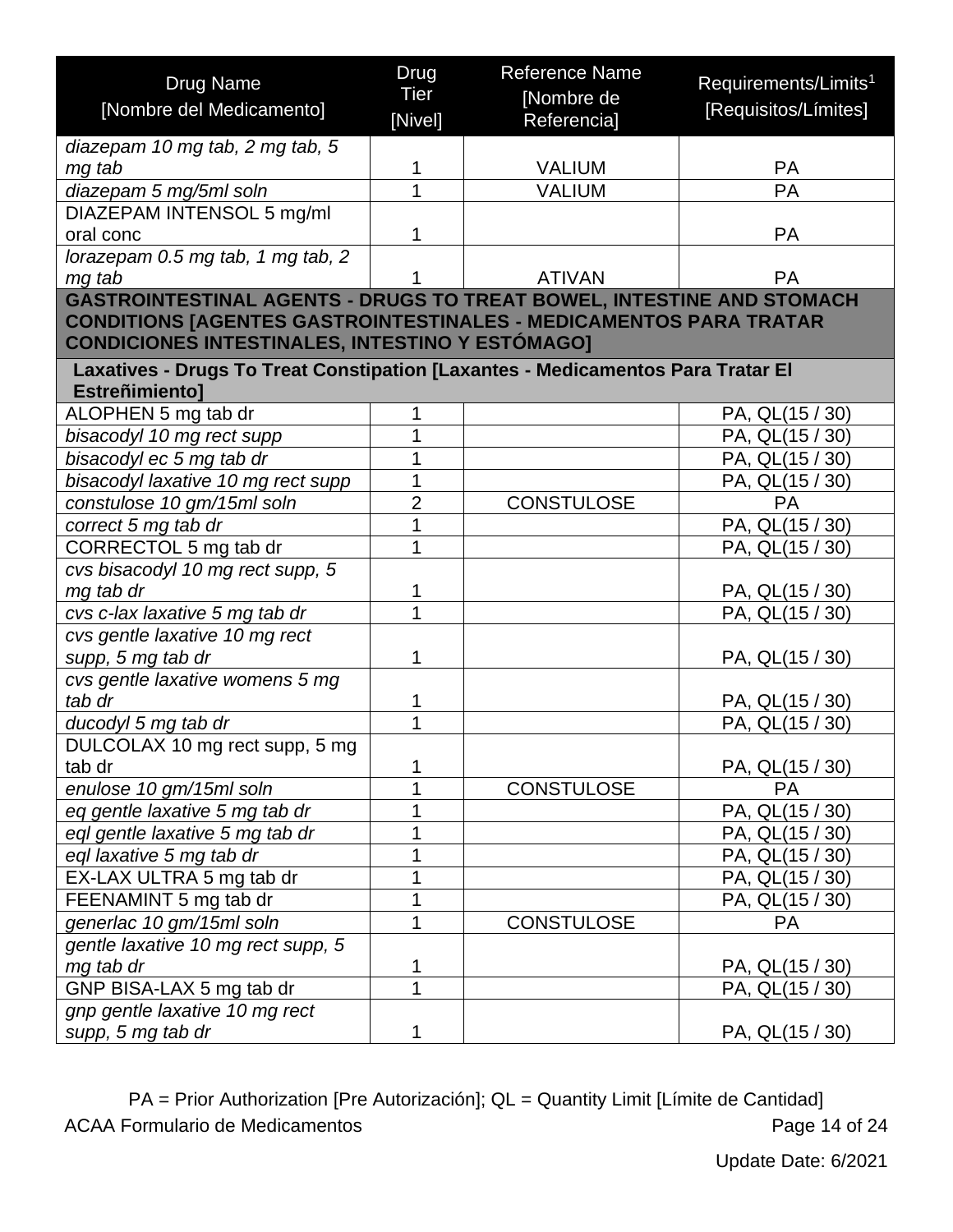<span id="page-13-0"></span>

| [Nombre de<br>[Nombre del Medicamento]<br>[Requisitos/Límites]<br>[Nivel]<br>Referencia]<br>diazepam 10 mg tab, 2 mg tab, 5<br><b>VALIUM</b><br><b>PA</b><br>mg tab<br>1<br>$\overline{1}$<br>PA<br><b>VALIUM</b><br>diazepam 5 mg/5ml soln<br>DIAZEPAM INTENSOL 5 mg/ml<br>1<br><b>PA</b><br>oral conc<br>lorazepam 0.5 mg tab, 1 mg tab, 2<br><b>ATIVAN</b><br>mg tab<br><b>PA</b><br><b>GASTROINTESTINAL AGENTS - DRUGS TO TREAT BOWEL, INTESTINE AND STOMACH</b><br><b>CONDITIONS [AGENTES GASTROINTESTINALES - MEDICAMENTOS PARA TRATAR</b><br><b>CONDICIONES INTESTINALES, INTESTINO Y ESTÓMAGO]</b><br>Laxatives - Drugs To Treat Constipation [Laxantes - Medicamentos Para Tratar El<br>Estreñimiento]<br>ALOPHEN 5 mg tab dr<br>1<br>PA, QL(15 / 30)<br>1<br>bisacodyl 10 mg rect supp<br>PA, QL(15 / 30)<br>1<br>bisacodyl ec 5 mg tab dr<br>PA, QL(15 / 30)<br>1<br>bisacodyl laxative 10 mg rect supp<br>PA, QL(15 / 30)<br>$\overline{2}$<br><b>CONSTULOSE</b><br>constulose 10 gm/15ml soln<br>PA<br>1<br>correct 5 mg tab dr<br>PA, QL(15 / 30)<br>1<br>CORRECTOL 5 mg tab dr<br>PA, QL(15 / 30)<br>cvs bisacodyl 10 mg rect supp, 5<br>1<br>mg tab dr<br>PA, QL(15 / 30)<br>1<br>cvs c-lax laxative 5 mg tab dr<br>PA, QL(15 / 30)<br>cvs gentle laxative 10 mg rect<br>supp, 5 mg tab dr<br>1<br>PA, QL(15 / 30)<br>cvs gentle laxative womens 5 mg<br>tab dr<br>1<br>PA, QL(15 / 30)<br>1<br>ducodyl 5 mg tab dr<br>PA, QL(15 / 30)<br>DULCOLAX 10 mg rect supp, 5 mg<br>tab dr<br>1<br>PA, QL(15 / 30)<br><b>CONSTULOSE</b><br>enulose 10 gm/15ml soln<br>1<br><b>PA</b><br>1<br>PA, QL(15 / 30)<br>eq gentle laxative 5 mg tab dr<br>1<br>eql gentle laxative 5 mg tab dr<br>PA, QL(15 / 30)<br>1<br>eql laxative 5 mg tab dr<br>PA, QL(15 / 30)<br>EX-LAX ULTRA 5 mg tab dr<br>1<br>PA, QL(15 / 30)<br>1<br>FEENAMINT 5 mg tab dr<br>PA, QL(15 / 30)<br>generlac 10 gm/15ml soln<br>1<br><b>CONSTULOSE</b><br><b>PA</b><br>gentle laxative 10 mg rect supp, 5<br>mg tab dr<br>1<br>PA, QL(15 / 30)<br>$\overline{1}$<br>GNP BISA-LAX 5 mg tab dr<br>PA, QL(15 / 30)<br>gnp gentle laxative 10 mg rect | <b>Drug Name</b>  | Drug | <b>Reference Name</b> | Requirements/Limits <sup>1</sup> |
|-----------------------------------------------------------------------------------------------------------------------------------------------------------------------------------------------------------------------------------------------------------------------------------------------------------------------------------------------------------------------------------------------------------------------------------------------------------------------------------------------------------------------------------------------------------------------------------------------------------------------------------------------------------------------------------------------------------------------------------------------------------------------------------------------------------------------------------------------------------------------------------------------------------------------------------------------------------------------------------------------------------------------------------------------------------------------------------------------------------------------------------------------------------------------------------------------------------------------------------------------------------------------------------------------------------------------------------------------------------------------------------------------------------------------------------------------------------------------------------------------------------------------------------------------------------------------------------------------------------------------------------------------------------------------------------------------------------------------------------------------------------------------------------------------------------------------------------------------------------------------------------------------------------------------------------------------------------------------------------------------------------------------------------------------------------------------------------------------------------------------------|-------------------|------|-----------------------|----------------------------------|
|                                                                                                                                                                                                                                                                                                                                                                                                                                                                                                                                                                                                                                                                                                                                                                                                                                                                                                                                                                                                                                                                                                                                                                                                                                                                                                                                                                                                                                                                                                                                                                                                                                                                                                                                                                                                                                                                                                                                                                                                                                                                                                                             |                   | Tier |                       |                                  |
|                                                                                                                                                                                                                                                                                                                                                                                                                                                                                                                                                                                                                                                                                                                                                                                                                                                                                                                                                                                                                                                                                                                                                                                                                                                                                                                                                                                                                                                                                                                                                                                                                                                                                                                                                                                                                                                                                                                                                                                                                                                                                                                             |                   |      |                       |                                  |
|                                                                                                                                                                                                                                                                                                                                                                                                                                                                                                                                                                                                                                                                                                                                                                                                                                                                                                                                                                                                                                                                                                                                                                                                                                                                                                                                                                                                                                                                                                                                                                                                                                                                                                                                                                                                                                                                                                                                                                                                                                                                                                                             |                   |      |                       |                                  |
|                                                                                                                                                                                                                                                                                                                                                                                                                                                                                                                                                                                                                                                                                                                                                                                                                                                                                                                                                                                                                                                                                                                                                                                                                                                                                                                                                                                                                                                                                                                                                                                                                                                                                                                                                                                                                                                                                                                                                                                                                                                                                                                             |                   |      |                       |                                  |
|                                                                                                                                                                                                                                                                                                                                                                                                                                                                                                                                                                                                                                                                                                                                                                                                                                                                                                                                                                                                                                                                                                                                                                                                                                                                                                                                                                                                                                                                                                                                                                                                                                                                                                                                                                                                                                                                                                                                                                                                                                                                                                                             |                   |      |                       |                                  |
|                                                                                                                                                                                                                                                                                                                                                                                                                                                                                                                                                                                                                                                                                                                                                                                                                                                                                                                                                                                                                                                                                                                                                                                                                                                                                                                                                                                                                                                                                                                                                                                                                                                                                                                                                                                                                                                                                                                                                                                                                                                                                                                             |                   |      |                       |                                  |
|                                                                                                                                                                                                                                                                                                                                                                                                                                                                                                                                                                                                                                                                                                                                                                                                                                                                                                                                                                                                                                                                                                                                                                                                                                                                                                                                                                                                                                                                                                                                                                                                                                                                                                                                                                                                                                                                                                                                                                                                                                                                                                                             |                   |      |                       |                                  |
|                                                                                                                                                                                                                                                                                                                                                                                                                                                                                                                                                                                                                                                                                                                                                                                                                                                                                                                                                                                                                                                                                                                                                                                                                                                                                                                                                                                                                                                                                                                                                                                                                                                                                                                                                                                                                                                                                                                                                                                                                                                                                                                             |                   |      |                       |                                  |
|                                                                                                                                                                                                                                                                                                                                                                                                                                                                                                                                                                                                                                                                                                                                                                                                                                                                                                                                                                                                                                                                                                                                                                                                                                                                                                                                                                                                                                                                                                                                                                                                                                                                                                                                                                                                                                                                                                                                                                                                                                                                                                                             |                   |      |                       |                                  |
|                                                                                                                                                                                                                                                                                                                                                                                                                                                                                                                                                                                                                                                                                                                                                                                                                                                                                                                                                                                                                                                                                                                                                                                                                                                                                                                                                                                                                                                                                                                                                                                                                                                                                                                                                                                                                                                                                                                                                                                                                                                                                                                             |                   |      |                       |                                  |
|                                                                                                                                                                                                                                                                                                                                                                                                                                                                                                                                                                                                                                                                                                                                                                                                                                                                                                                                                                                                                                                                                                                                                                                                                                                                                                                                                                                                                                                                                                                                                                                                                                                                                                                                                                                                                                                                                                                                                                                                                                                                                                                             |                   |      |                       |                                  |
|                                                                                                                                                                                                                                                                                                                                                                                                                                                                                                                                                                                                                                                                                                                                                                                                                                                                                                                                                                                                                                                                                                                                                                                                                                                                                                                                                                                                                                                                                                                                                                                                                                                                                                                                                                                                                                                                                                                                                                                                                                                                                                                             |                   |      |                       |                                  |
|                                                                                                                                                                                                                                                                                                                                                                                                                                                                                                                                                                                                                                                                                                                                                                                                                                                                                                                                                                                                                                                                                                                                                                                                                                                                                                                                                                                                                                                                                                                                                                                                                                                                                                                                                                                                                                                                                                                                                                                                                                                                                                                             |                   |      |                       |                                  |
|                                                                                                                                                                                                                                                                                                                                                                                                                                                                                                                                                                                                                                                                                                                                                                                                                                                                                                                                                                                                                                                                                                                                                                                                                                                                                                                                                                                                                                                                                                                                                                                                                                                                                                                                                                                                                                                                                                                                                                                                                                                                                                                             |                   |      |                       |                                  |
|                                                                                                                                                                                                                                                                                                                                                                                                                                                                                                                                                                                                                                                                                                                                                                                                                                                                                                                                                                                                                                                                                                                                                                                                                                                                                                                                                                                                                                                                                                                                                                                                                                                                                                                                                                                                                                                                                                                                                                                                                                                                                                                             |                   |      |                       |                                  |
|                                                                                                                                                                                                                                                                                                                                                                                                                                                                                                                                                                                                                                                                                                                                                                                                                                                                                                                                                                                                                                                                                                                                                                                                                                                                                                                                                                                                                                                                                                                                                                                                                                                                                                                                                                                                                                                                                                                                                                                                                                                                                                                             |                   |      |                       |                                  |
|                                                                                                                                                                                                                                                                                                                                                                                                                                                                                                                                                                                                                                                                                                                                                                                                                                                                                                                                                                                                                                                                                                                                                                                                                                                                                                                                                                                                                                                                                                                                                                                                                                                                                                                                                                                                                                                                                                                                                                                                                                                                                                                             |                   |      |                       |                                  |
|                                                                                                                                                                                                                                                                                                                                                                                                                                                                                                                                                                                                                                                                                                                                                                                                                                                                                                                                                                                                                                                                                                                                                                                                                                                                                                                                                                                                                                                                                                                                                                                                                                                                                                                                                                                                                                                                                                                                                                                                                                                                                                                             |                   |      |                       |                                  |
|                                                                                                                                                                                                                                                                                                                                                                                                                                                                                                                                                                                                                                                                                                                                                                                                                                                                                                                                                                                                                                                                                                                                                                                                                                                                                                                                                                                                                                                                                                                                                                                                                                                                                                                                                                                                                                                                                                                                                                                                                                                                                                                             |                   |      |                       |                                  |
|                                                                                                                                                                                                                                                                                                                                                                                                                                                                                                                                                                                                                                                                                                                                                                                                                                                                                                                                                                                                                                                                                                                                                                                                                                                                                                                                                                                                                                                                                                                                                                                                                                                                                                                                                                                                                                                                                                                                                                                                                                                                                                                             |                   |      |                       |                                  |
|                                                                                                                                                                                                                                                                                                                                                                                                                                                                                                                                                                                                                                                                                                                                                                                                                                                                                                                                                                                                                                                                                                                                                                                                                                                                                                                                                                                                                                                                                                                                                                                                                                                                                                                                                                                                                                                                                                                                                                                                                                                                                                                             |                   |      |                       |                                  |
|                                                                                                                                                                                                                                                                                                                                                                                                                                                                                                                                                                                                                                                                                                                                                                                                                                                                                                                                                                                                                                                                                                                                                                                                                                                                                                                                                                                                                                                                                                                                                                                                                                                                                                                                                                                                                                                                                                                                                                                                                                                                                                                             |                   |      |                       |                                  |
|                                                                                                                                                                                                                                                                                                                                                                                                                                                                                                                                                                                                                                                                                                                                                                                                                                                                                                                                                                                                                                                                                                                                                                                                                                                                                                                                                                                                                                                                                                                                                                                                                                                                                                                                                                                                                                                                                                                                                                                                                                                                                                                             |                   |      |                       |                                  |
|                                                                                                                                                                                                                                                                                                                                                                                                                                                                                                                                                                                                                                                                                                                                                                                                                                                                                                                                                                                                                                                                                                                                                                                                                                                                                                                                                                                                                                                                                                                                                                                                                                                                                                                                                                                                                                                                                                                                                                                                                                                                                                                             |                   |      |                       |                                  |
|                                                                                                                                                                                                                                                                                                                                                                                                                                                                                                                                                                                                                                                                                                                                                                                                                                                                                                                                                                                                                                                                                                                                                                                                                                                                                                                                                                                                                                                                                                                                                                                                                                                                                                                                                                                                                                                                                                                                                                                                                                                                                                                             |                   |      |                       |                                  |
|                                                                                                                                                                                                                                                                                                                                                                                                                                                                                                                                                                                                                                                                                                                                                                                                                                                                                                                                                                                                                                                                                                                                                                                                                                                                                                                                                                                                                                                                                                                                                                                                                                                                                                                                                                                                                                                                                                                                                                                                                                                                                                                             |                   |      |                       |                                  |
|                                                                                                                                                                                                                                                                                                                                                                                                                                                                                                                                                                                                                                                                                                                                                                                                                                                                                                                                                                                                                                                                                                                                                                                                                                                                                                                                                                                                                                                                                                                                                                                                                                                                                                                                                                                                                                                                                                                                                                                                                                                                                                                             |                   |      |                       |                                  |
|                                                                                                                                                                                                                                                                                                                                                                                                                                                                                                                                                                                                                                                                                                                                                                                                                                                                                                                                                                                                                                                                                                                                                                                                                                                                                                                                                                                                                                                                                                                                                                                                                                                                                                                                                                                                                                                                                                                                                                                                                                                                                                                             |                   |      |                       |                                  |
|                                                                                                                                                                                                                                                                                                                                                                                                                                                                                                                                                                                                                                                                                                                                                                                                                                                                                                                                                                                                                                                                                                                                                                                                                                                                                                                                                                                                                                                                                                                                                                                                                                                                                                                                                                                                                                                                                                                                                                                                                                                                                                                             |                   |      |                       |                                  |
|                                                                                                                                                                                                                                                                                                                                                                                                                                                                                                                                                                                                                                                                                                                                                                                                                                                                                                                                                                                                                                                                                                                                                                                                                                                                                                                                                                                                                                                                                                                                                                                                                                                                                                                                                                                                                                                                                                                                                                                                                                                                                                                             |                   |      |                       |                                  |
|                                                                                                                                                                                                                                                                                                                                                                                                                                                                                                                                                                                                                                                                                                                                                                                                                                                                                                                                                                                                                                                                                                                                                                                                                                                                                                                                                                                                                                                                                                                                                                                                                                                                                                                                                                                                                                                                                                                                                                                                                                                                                                                             |                   |      |                       |                                  |
|                                                                                                                                                                                                                                                                                                                                                                                                                                                                                                                                                                                                                                                                                                                                                                                                                                                                                                                                                                                                                                                                                                                                                                                                                                                                                                                                                                                                                                                                                                                                                                                                                                                                                                                                                                                                                                                                                                                                                                                                                                                                                                                             |                   |      |                       |                                  |
|                                                                                                                                                                                                                                                                                                                                                                                                                                                                                                                                                                                                                                                                                                                                                                                                                                                                                                                                                                                                                                                                                                                                                                                                                                                                                                                                                                                                                                                                                                                                                                                                                                                                                                                                                                                                                                                                                                                                                                                                                                                                                                                             |                   |      |                       |                                  |
|                                                                                                                                                                                                                                                                                                                                                                                                                                                                                                                                                                                                                                                                                                                                                                                                                                                                                                                                                                                                                                                                                                                                                                                                                                                                                                                                                                                                                                                                                                                                                                                                                                                                                                                                                                                                                                                                                                                                                                                                                                                                                                                             |                   |      |                       |                                  |
|                                                                                                                                                                                                                                                                                                                                                                                                                                                                                                                                                                                                                                                                                                                                                                                                                                                                                                                                                                                                                                                                                                                                                                                                                                                                                                                                                                                                                                                                                                                                                                                                                                                                                                                                                                                                                                                                                                                                                                                                                                                                                                                             |                   |      |                       |                                  |
|                                                                                                                                                                                                                                                                                                                                                                                                                                                                                                                                                                                                                                                                                                                                                                                                                                                                                                                                                                                                                                                                                                                                                                                                                                                                                                                                                                                                                                                                                                                                                                                                                                                                                                                                                                                                                                                                                                                                                                                                                                                                                                                             |                   |      |                       |                                  |
|                                                                                                                                                                                                                                                                                                                                                                                                                                                                                                                                                                                                                                                                                                                                                                                                                                                                                                                                                                                                                                                                                                                                                                                                                                                                                                                                                                                                                                                                                                                                                                                                                                                                                                                                                                                                                                                                                                                                                                                                                                                                                                                             |                   |      |                       |                                  |
|                                                                                                                                                                                                                                                                                                                                                                                                                                                                                                                                                                                                                                                                                                                                                                                                                                                                                                                                                                                                                                                                                                                                                                                                                                                                                                                                                                                                                                                                                                                                                                                                                                                                                                                                                                                                                                                                                                                                                                                                                                                                                                                             |                   |      |                       |                                  |
|                                                                                                                                                                                                                                                                                                                                                                                                                                                                                                                                                                                                                                                                                                                                                                                                                                                                                                                                                                                                                                                                                                                                                                                                                                                                                                                                                                                                                                                                                                                                                                                                                                                                                                                                                                                                                                                                                                                                                                                                                                                                                                                             |                   |      |                       |                                  |
|                                                                                                                                                                                                                                                                                                                                                                                                                                                                                                                                                                                                                                                                                                                                                                                                                                                                                                                                                                                                                                                                                                                                                                                                                                                                                                                                                                                                                                                                                                                                                                                                                                                                                                                                                                                                                                                                                                                                                                                                                                                                                                                             |                   |      |                       |                                  |
|                                                                                                                                                                                                                                                                                                                                                                                                                                                                                                                                                                                                                                                                                                                                                                                                                                                                                                                                                                                                                                                                                                                                                                                                                                                                                                                                                                                                                                                                                                                                                                                                                                                                                                                                                                                                                                                                                                                                                                                                                                                                                                                             |                   |      |                       |                                  |
|                                                                                                                                                                                                                                                                                                                                                                                                                                                                                                                                                                                                                                                                                                                                                                                                                                                                                                                                                                                                                                                                                                                                                                                                                                                                                                                                                                                                                                                                                                                                                                                                                                                                                                                                                                                                                                                                                                                                                                                                                                                                                                                             | supp, 5 mg tab dr | 1    |                       | PA, QL(15 / 30)                  |

PA = Prior Authorization [Pre Autorización]; QL = Quantity Limit [Límite de Cantidad] ACAA Formulario de Medicamentos **Page 14 of 24**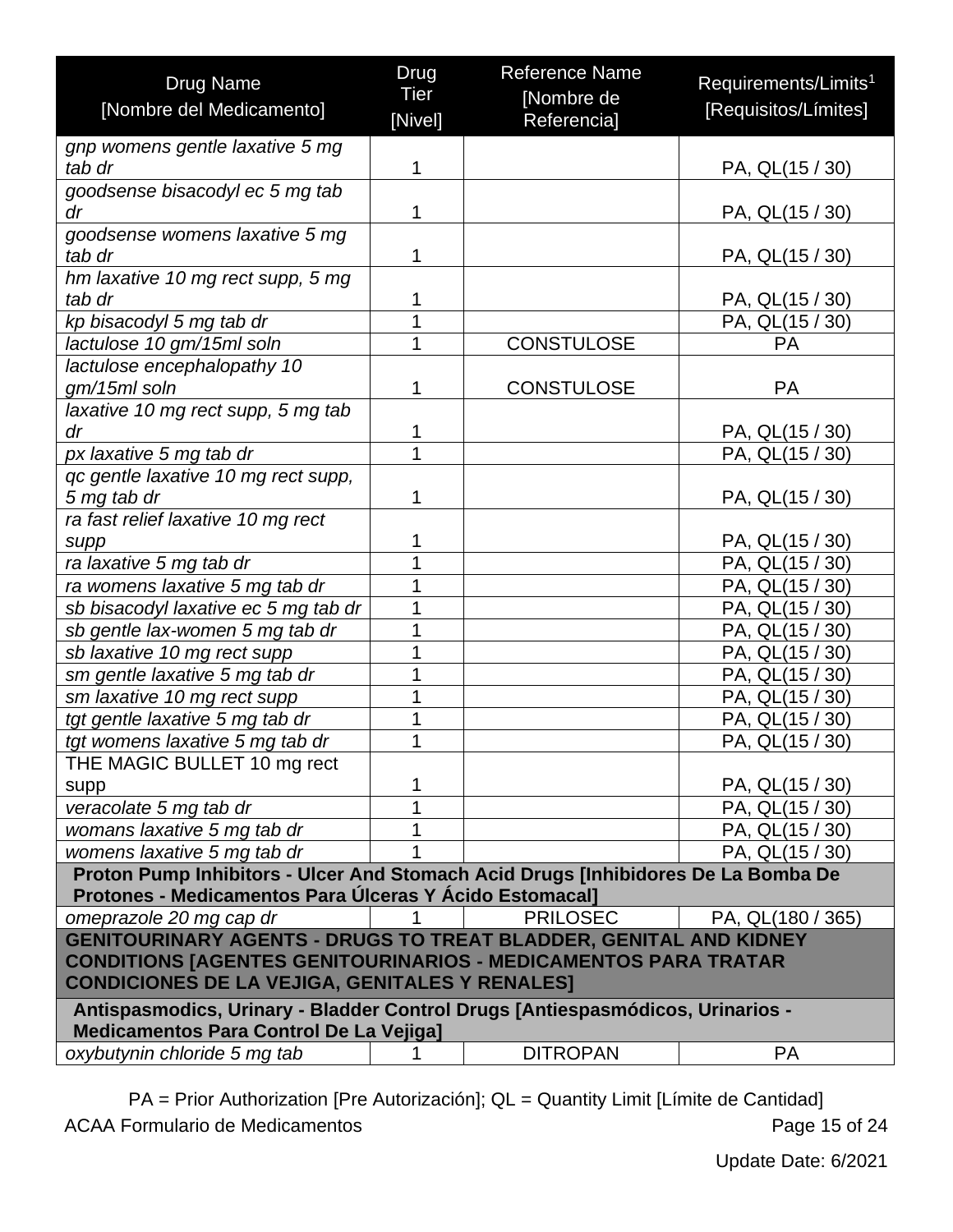| <b>Drug Name</b>                                                                                                                             | Drug    | <b>Reference Name</b> | Requirements/Limits <sup>1</sup> |
|----------------------------------------------------------------------------------------------------------------------------------------------|---------|-----------------------|----------------------------------|
| [Nombre del Medicamento]                                                                                                                     | Tier    | [Nombre de            | [Requisitos/Límites]             |
|                                                                                                                                              | [Nivel] | <b>Referencial</b>    |                                  |
| gnp womens gentle laxative 5 mg                                                                                                              |         |                       |                                  |
| tab dr                                                                                                                                       | 1       |                       | PA, QL(15 / 30)                  |
| goodsense bisacodyl ec 5 mg tab                                                                                                              |         |                       |                                  |
| dr                                                                                                                                           | 1       |                       | PA, QL(15 / 30)                  |
| goodsense womens laxative 5 mg                                                                                                               |         |                       |                                  |
| tab dr                                                                                                                                       | 1       |                       | PA, QL(15 / 30)                  |
| hm laxative 10 mg rect supp, 5 mg                                                                                                            |         |                       |                                  |
| tab dr                                                                                                                                       | 1       |                       | PA, QL(15 / 30)                  |
| kp bisacodyl 5 mg tab dr                                                                                                                     | 1       |                       | PA, QL(15 / 30)                  |
| lactulose 10 gm/15ml soln                                                                                                                    | 1       | <b>CONSTULOSE</b>     | <b>PA</b>                        |
| lactulose encephalopathy 10                                                                                                                  |         |                       |                                  |
| gm/15ml soln                                                                                                                                 | 1       | <b>CONSTULOSE</b>     | <b>PA</b>                        |
| laxative 10 mg rect supp, 5 mg tab<br>dr                                                                                                     |         |                       |                                  |
|                                                                                                                                              | 1<br>1  |                       | PA, QL(15 / 30)                  |
| px laxative 5 mg tab dr                                                                                                                      |         |                       | PA, QL(15 / 30)                  |
| gc gentle laxative 10 mg rect supp,                                                                                                          |         |                       |                                  |
| 5 mg tab dr<br>ra fast relief laxative 10 mg rect                                                                                            | 1       |                       | PA, QL(15 / 30)                  |
|                                                                                                                                              | 1       |                       | PA, QL(15 / 30)                  |
| supp<br>ra laxative 5 mg tab dr                                                                                                              | 1       |                       | PA, QL(15 / 30)                  |
| ra womens laxative 5 mg tab dr                                                                                                               | 1       |                       | PA, QL(15 / 30)                  |
| sb bisacodyl laxative ec 5 mg tab dr                                                                                                         | 1       |                       | PA, QL(15 / 30)                  |
| sb gentle lax-women 5 mg tab dr                                                                                                              |         |                       | PA, QL(15 / 30)                  |
| sb laxative 10 mg rect supp                                                                                                                  |         |                       | PA, QL(15 / 30)                  |
| sm gentle laxative 5 mg tab dr                                                                                                               |         |                       | PA, QL(15 / 30)                  |
| sm laxative 10 mg rect supp                                                                                                                  | 1       |                       | PA, QL(15 / 30)                  |
| tgt gentle laxative 5 mg tab dr                                                                                                              |         |                       | PA, QL(15 / 30)                  |
| tgt womens laxative 5 mg tab dr                                                                                                              |         |                       | PA, QL(15 / 30)                  |
| THE MAGIC BULLET 10 mg rect                                                                                                                  |         |                       |                                  |
| supp                                                                                                                                         | 1       |                       | PA, QL(15 / 30)                  |
| veracolate 5 mg tab dr                                                                                                                       | 1       |                       | PA, QL(15 / 30)                  |
| womans laxative 5 mg tab dr                                                                                                                  |         |                       | PA, QL(15 / 30)                  |
| womens laxative 5 mg tab dr                                                                                                                  |         |                       | PA, QL(15 / 30)                  |
|                                                                                                                                              |         |                       |                                  |
| Proton Pump Inhibitors - Ulcer And Stomach Acid Drugs [Inhibidores De La Bomba De<br>Protones - Medicamentos Para Úlceras Y Ácido Estomacal] |         |                       |                                  |
| omeprazole 20 mg cap dr                                                                                                                      |         | <b>PRILOSEC</b>       | PA, QL(180 / 365)                |
| <b>GENITOURINARY AGENTS - DRUGS TO TREAT BLADDER, GENITAL AND KIDNEY</b>                                                                     |         |                       |                                  |
| <b>CONDITIONS [AGENTES GENITOURINARIOS - MEDICAMENTOS PARA TRATAR</b>                                                                        |         |                       |                                  |
| <b>CONDICIONES DE LA VEJIGA, GENITALES Y RENALES]</b>                                                                                        |         |                       |                                  |
| Antispasmodics, Urinary - Bladder Control Drugs [Antiespasmódicos, Urinarios -<br>Medicamentos Para Control De La Vejiga]                    |         |                       |                                  |
| oxybutynin chloride 5 mg tab                                                                                                                 |         | <b>DITROPAN</b>       | <b>PA</b>                        |
|                                                                                                                                              |         |                       |                                  |

<span id="page-14-0"></span>PA = Prior Authorization [Pre Autorización]; QL = Quantity Limit [Límite de Cantidad] ACAA Formulario de Medicamentos **Page 15 of 24**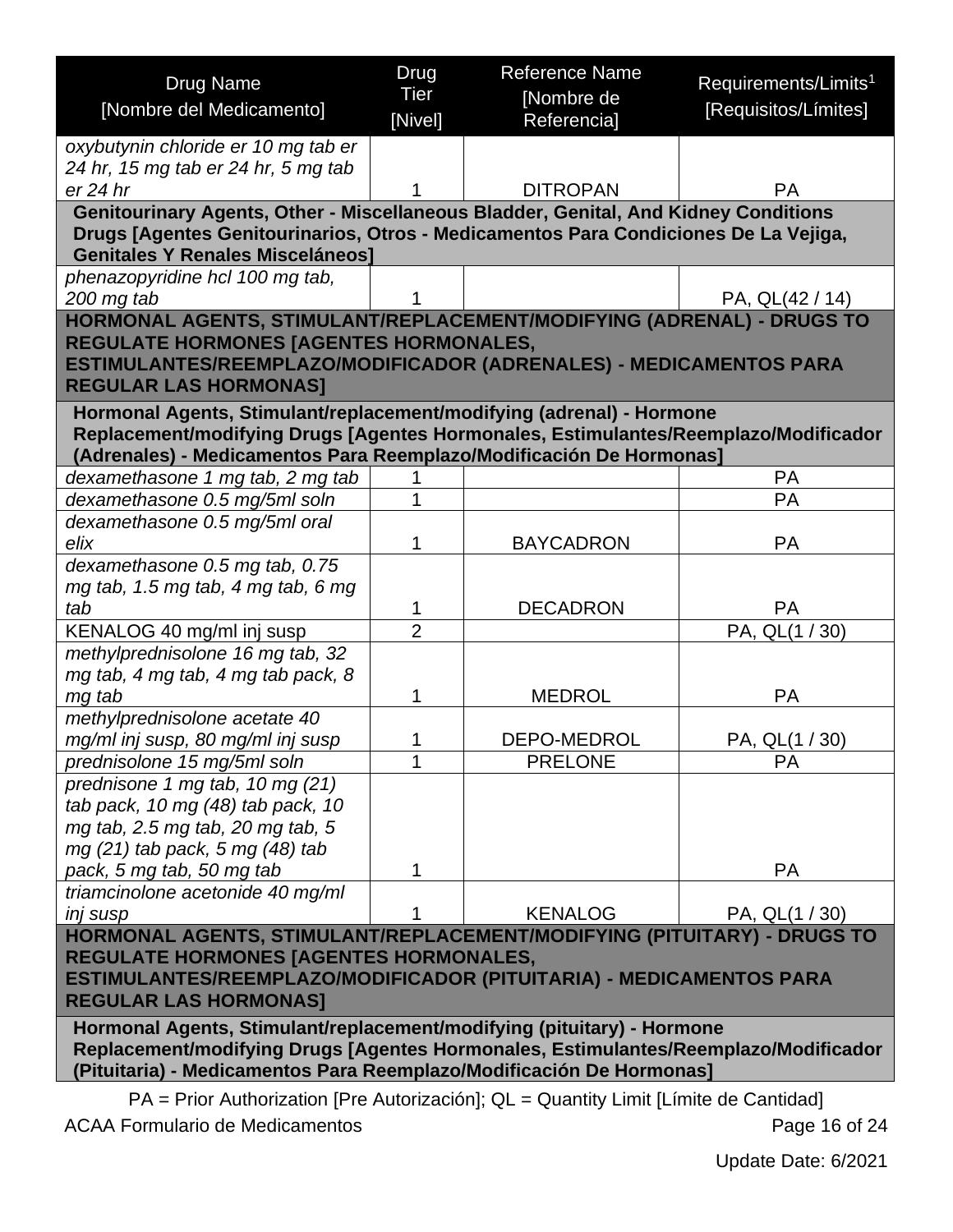<span id="page-15-0"></span>

| <b>Drug Name</b>                                                                                                  | <b>Drug</b>    | <b>Reference Name</b> | Requirements/Limits <sup>1</sup> |
|-------------------------------------------------------------------------------------------------------------------|----------------|-----------------------|----------------------------------|
|                                                                                                                   | Tier           | [Nombre de            |                                  |
| [Nombre del Medicamento]                                                                                          | [Nivel]        | Referencia]           | [Requisitos/Límites]             |
| oxybutynin chloride er 10 mg tab er                                                                               |                |                       |                                  |
| 24 hr, 15 mg tab er 24 hr, 5 mg tab                                                                               |                |                       |                                  |
| er 24 hr                                                                                                          |                | <b>DITROPAN</b>       | <b>PA</b>                        |
| Genitourinary Agents, Other - Miscellaneous Bladder, Genital, And Kidney Conditions                               |                |                       |                                  |
| Drugs [Agentes Genitourinarios, Otros - Medicamentos Para Condiciones De La Vejiga,                               |                |                       |                                  |
| <b>Genitales Y Renales Misceláneos]</b>                                                                           |                |                       |                                  |
| phenazopyridine hcl 100 mg tab,                                                                                   |                |                       |                                  |
| 200 mg tab                                                                                                        |                |                       | PA, QL(42 / 14)                  |
| HORMONAL AGENTS, STIMULANT/REPLACEMENT/MODIFYING (ADRENAL) - DRUGS TO                                             |                |                       |                                  |
| REGULATE HORMONES [AGENTES HORMONALES,                                                                            |                |                       |                                  |
| ESTIMULANTES/REEMPLAZO/MODIFICADOR (ADRENALES) - MEDICAMENTOS PARA                                                |                |                       |                                  |
| <b>REGULAR LAS HORMONAS]</b>                                                                                      |                |                       |                                  |
| Hormonal Agents, Stimulant/replacement/modifying (adrenal) - Hormone                                              |                |                       |                                  |
| Replacement/modifying Drugs [Agentes Hormonales, Estimulantes/Reemplazo/Modificador                               |                |                       |                                  |
| (Adrenales) - Medicamentos Para Reemplazo/Modificación De Hormonas]                                               |                |                       |                                  |
| dexamethasone 1 mg tab, 2 mg tab<br>dexamethasone 0.5 mg/5ml soln                                                 |                |                       | <b>PA</b><br><b>PA</b>           |
| dexamethasone 0.5 mg/5ml oral                                                                                     |                |                       |                                  |
| elix                                                                                                              |                | <b>BAYCADRON</b>      | <b>PA</b>                        |
| dexamethasone 0.5 mg tab, 0.75                                                                                    |                |                       |                                  |
| mg tab, 1.5 mg tab, 4 mg tab, 6 mg                                                                                |                |                       |                                  |
| tab                                                                                                               |                | <b>DECADRON</b>       | <b>PA</b>                        |
| KENALOG 40 mg/ml inj susp                                                                                         | $\overline{2}$ |                       | PA, QL(1 / 30)                   |
| methylprednisolone 16 mg tab, 32                                                                                  |                |                       |                                  |
| mg tab, 4 mg tab, 4 mg tab pack, 8                                                                                |                |                       |                                  |
| mg tab                                                                                                            | 1              | <b>MEDROL</b>         | <b>PA</b>                        |
| methylprednisolone acetate 40                                                                                     |                |                       |                                  |
| mg/ml inj susp, 80 mg/ml inj susp                                                                                 |                | <b>DEPO-MEDROL</b>    | PA, QL(1 / 30)                   |
| prednisolone 15 mg/5ml soln                                                                                       |                | <b>PRELONE</b>        | PA                               |
| prednisone 1 mg tab, 10 mg (21)                                                                                   |                |                       |                                  |
| tab pack, 10 mg (48) tab pack, 10                                                                                 |                |                       |                                  |
| mg tab, 2.5 mg tab, 20 mg tab, 5                                                                                  |                |                       |                                  |
| $mg(21)$ tab pack, 5 mg $(48)$ tab                                                                                |                |                       |                                  |
| pack, 5 mg tab, 50 mg tab                                                                                         | 1              |                       | <b>PA</b>                        |
| triamcinolone acetonide 40 mg/ml                                                                                  |                |                       |                                  |
| inj susp                                                                                                          |                | <b>KENALOG</b>        | PA, QL(1 / 30)                   |
| HORMONAL AGENTS, STIMULANT/REPLACEMENT/MODIFYING (PITUITARY) - DRUGS TO<br>REGULATE HORMONES [AGENTES HORMONALES, |                |                       |                                  |
| ESTIMULANTES/REEMPLAZO/MODIFICADOR (PITUITARIA) - MEDICAMENTOS PARA                                               |                |                       |                                  |
| <b>REGULAR LAS HORMONAS]</b>                                                                                      |                |                       |                                  |
| Hormonal Agents, Stimulant/replacement/modifying (pituitary) - Hormone                                            |                |                       |                                  |
| Replacement/modifying Drugs [Agentes Hormonales, Estimulantes/Reemplazo/Modificador                               |                |                       |                                  |
| (Pituitaria) - Medicamentos Para Reemplazo/Modificación De Hormonas]                                              |                |                       |                                  |

<span id="page-15-1"></span>PA = Prior Authorization [Pre Autorización]; QL = Quantity Limit [Límite de Cantidad]

ACAA Formulario de Medicamentos **Page 16 of 24**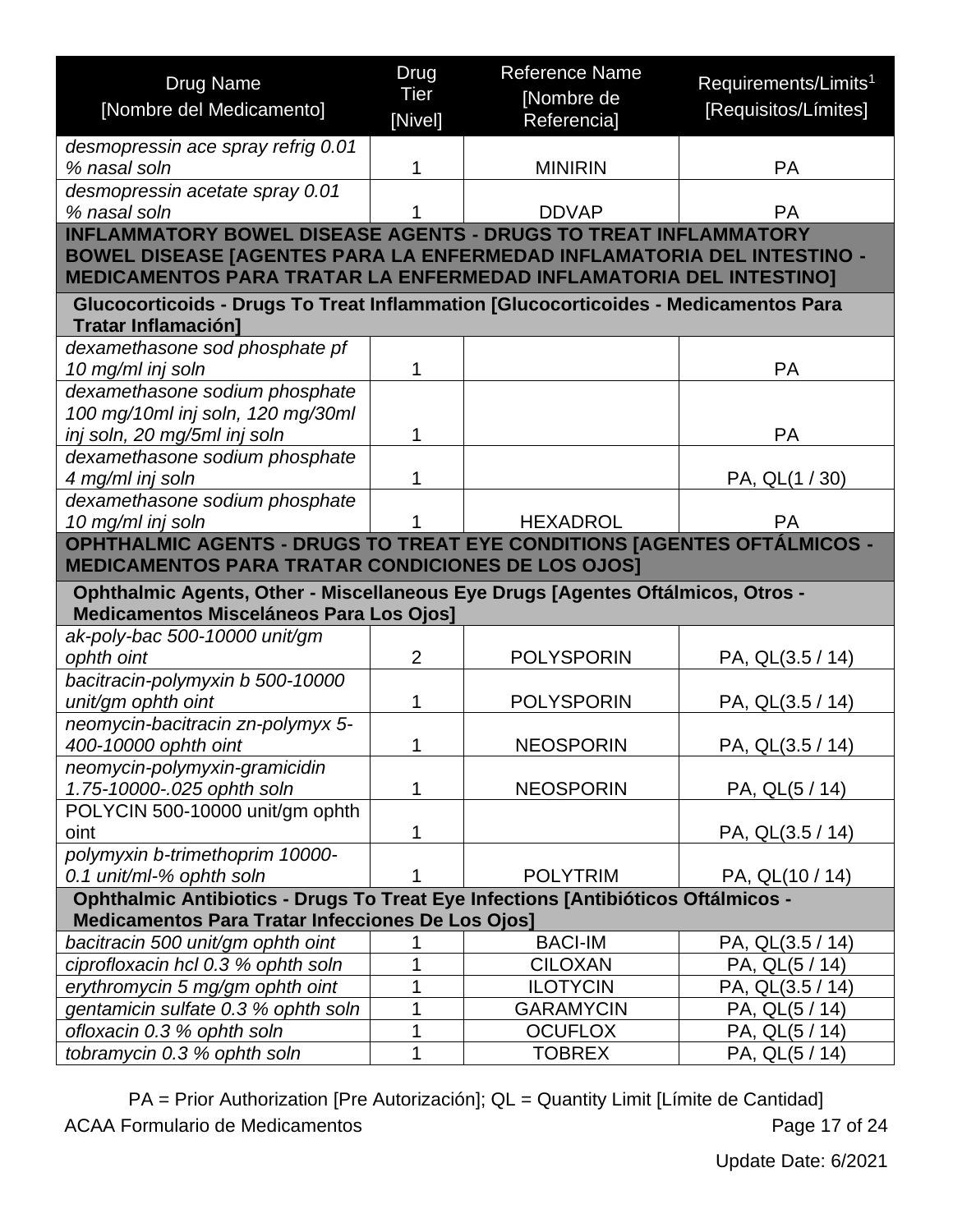<span id="page-16-1"></span><span id="page-16-0"></span>

| <b>Drug Name</b><br>[Nombre del Medicamento]                                                                                                                                                                                         | Drug<br><b>Tier</b><br>[Nivel] | <b>Reference Name</b><br>[Nombre de<br>Referencia] | Requirements/Limits <sup>1</sup><br>[Requisitos/Límites] |
|--------------------------------------------------------------------------------------------------------------------------------------------------------------------------------------------------------------------------------------|--------------------------------|----------------------------------------------------|----------------------------------------------------------|
| desmopressin ace spray refrig 0.01                                                                                                                                                                                                   |                                |                                                    |                                                          |
| % nasal soln                                                                                                                                                                                                                         | 1                              | <b>MINIRIN</b>                                     | <b>PA</b>                                                |
| desmopressin acetate spray 0.01                                                                                                                                                                                                      |                                |                                                    |                                                          |
| % nasal soln                                                                                                                                                                                                                         |                                | <b>DDVAP</b>                                       | <b>PA</b>                                                |
| <b>INFLAMMATORY BOWEL DISEASE AGENTS - DRUGS TO TREAT INFLAMMATORY</b><br><b>BOWEL DISEASE [AGENTES PARA LA ENFERMEDAD INFLAMATORIA DEL INTESTINO -</b><br><b>MEDICAMENTOS PARA TRATAR LA ENFERMEDAD INFLAMATORIA DEL INTESTINO]</b> |                                |                                                    |                                                          |
| Glucocorticoids - Drugs To Treat Inflammation [Glucocorticoides - Medicamentos Para<br><b>Tratar Inflamación]</b>                                                                                                                    |                                |                                                    |                                                          |
| dexamethasone sod phosphate pf                                                                                                                                                                                                       |                                |                                                    |                                                          |
| 10 mg/ml inj soln                                                                                                                                                                                                                    | 1                              |                                                    | <b>PA</b>                                                |
| dexamethasone sodium phosphate                                                                                                                                                                                                       |                                |                                                    |                                                          |
| 100 mg/10ml inj soln, 120 mg/30ml<br>inj soln, 20 mg/5ml inj soln                                                                                                                                                                    | 1                              |                                                    | <b>PA</b>                                                |
| dexamethasone sodium phosphate                                                                                                                                                                                                       |                                |                                                    |                                                          |
| 4 mg/ml inj soln                                                                                                                                                                                                                     | 1                              |                                                    | PA, QL(1 / 30)                                           |
| dexamethasone sodium phosphate                                                                                                                                                                                                       |                                |                                                    |                                                          |
| 10 mg/ml inj soln                                                                                                                                                                                                                    |                                | <b>HEXADROL</b>                                    | <b>PA</b>                                                |
| OPHTHALMIC AGENTS - DRUGS TO TREAT EYE CONDITIONS [AGENTES OFTÁLMICOS -                                                                                                                                                              |                                |                                                    |                                                          |
| <b>MEDICAMENTOS PARA TRATAR CONDICIONES DE LOS OJOS]</b>                                                                                                                                                                             |                                |                                                    |                                                          |
| Ophthalmic Agents, Other - Miscellaneous Eye Drugs [Agentes Oftálmicos, Otros -<br>Medicamentos Misceláneos Para Los Ojos]                                                                                                           |                                |                                                    |                                                          |
| ak-poly-bac 500-10000 unit/gm                                                                                                                                                                                                        |                                |                                                    |                                                          |
| ophth oint                                                                                                                                                                                                                           | $\overline{2}$                 | <b>POLYSPORIN</b>                                  | PA, QL(3.5 / 14)                                         |
| bacitracin-polymyxin b 500-10000                                                                                                                                                                                                     |                                |                                                    |                                                          |
| unit/gm ophth oint<br>neomycin-bacitracin zn-polymyx 5-                                                                                                                                                                              | 1                              | <b>POLYSPORIN</b>                                  | PA, QL(3.5 / 14)                                         |
| 400-10000 ophth oint                                                                                                                                                                                                                 | 1                              | <b>NEOSPORIN</b>                                   | PA, QL(3.5 / 14)                                         |
| neomycin-polymyxin-gramicidin                                                                                                                                                                                                        |                                |                                                    |                                                          |
| 1.75-10000-.025 ophth soln                                                                                                                                                                                                           | 1                              | <b>NEOSPORIN</b>                                   | PA, QL(5 / 14)                                           |
| POLYCIN 500-10000 unit/gm ophth                                                                                                                                                                                                      |                                |                                                    |                                                          |
| oint                                                                                                                                                                                                                                 | 1                              |                                                    | PA, QL(3.5 / 14)                                         |
| polymyxin b-trimethoprim 10000-                                                                                                                                                                                                      |                                |                                                    |                                                          |
| 0.1 unit/ml-% ophth soln<br>Ophthalmic Antibiotics - Drugs To Treat Eye Infections [Antibióticos Oftálmicos -                                                                                                                        |                                | <b>POLYTRIM</b>                                    | PA, QL(10 / 14)                                          |
| <b>Medicamentos Para Tratar Infecciones De Los Ojos]</b>                                                                                                                                                                             |                                |                                                    |                                                          |
| bacitracin 500 unit/gm ophth oint                                                                                                                                                                                                    |                                | <b>BACI-IM</b>                                     | PA, QL(3.5 / 14)                                         |
| ciprofloxacin hcl 0.3 % ophth soln                                                                                                                                                                                                   | 1                              | <b>CILOXAN</b>                                     | PA, QL(5 / 14)                                           |
| erythromycin 5 mg/gm ophth oint                                                                                                                                                                                                      | 1                              | <b>ILOTYCIN</b>                                    | PA, QL(3.5 / 14)                                         |
| gentamicin sulfate 0.3 % ophth soln                                                                                                                                                                                                  | 1                              | <b>GARAMYCIN</b>                                   | PA, QL(5 / 14)                                           |
| ofloxacin 0.3 % ophth soln                                                                                                                                                                                                           | 1                              | <b>OCUFLOX</b>                                     | PA, QL(5 / 14)                                           |
| tobramycin 0.3 % ophth soln                                                                                                                                                                                                          | 1                              | <b>TOBREX</b>                                      | PA, QL(5 / 14)                                           |

PA = Prior Authorization [Pre Autorización]; QL = Quantity Limit [Límite de Cantidad] ACAA Formulario de Medicamentos **Page 17 of 24**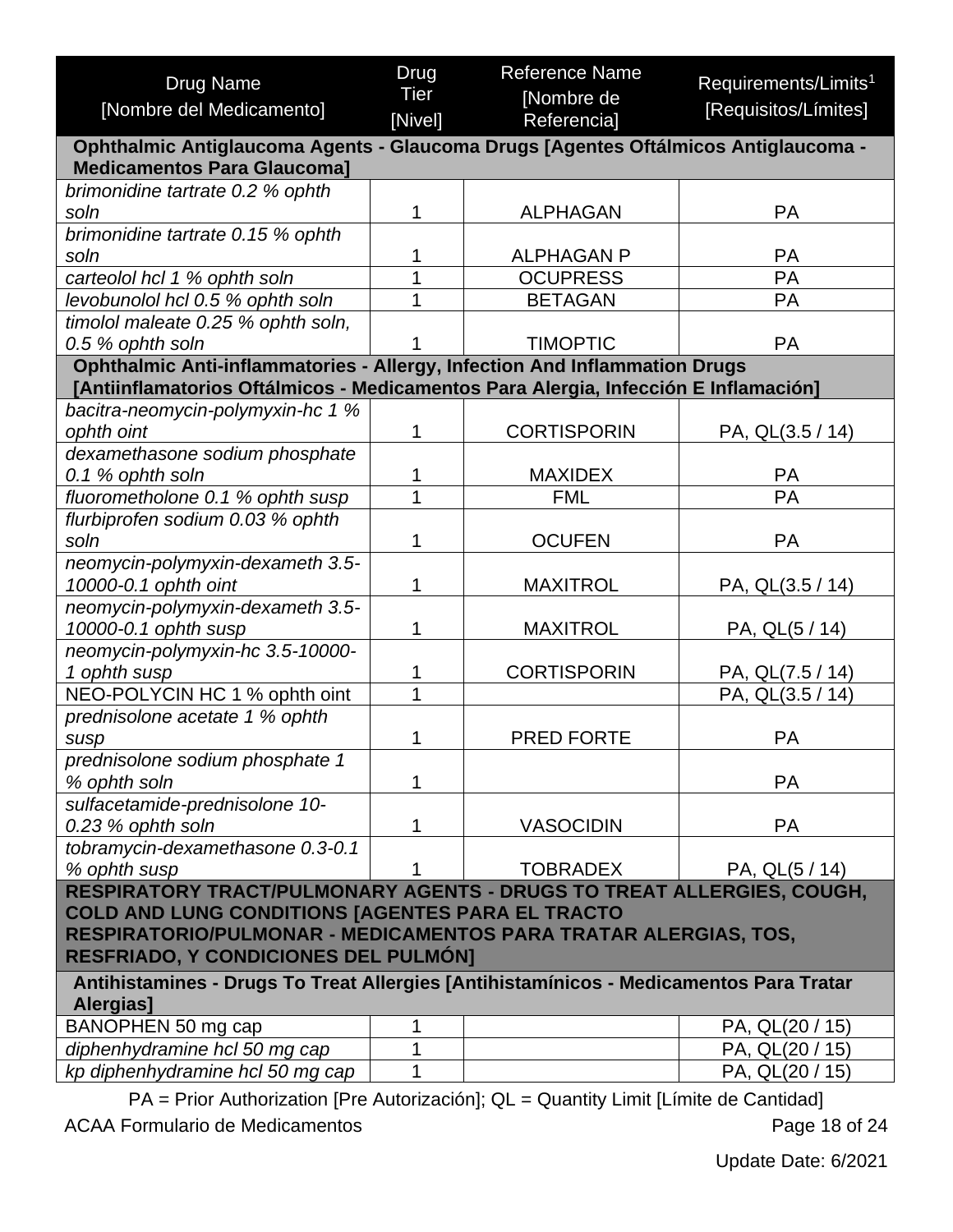| <b>Drug Name</b>                                                                                    | Drug            | <b>Reference Name</b>     | Requirements/Limits <sup>1</sup> |
|-----------------------------------------------------------------------------------------------------|-----------------|---------------------------|----------------------------------|
| [Nombre del Medicamento]                                                                            | Tier<br>[Nivel] | [Nombre de<br>Referencia] | [Requisitos/Límites]             |
| Ophthalmic Antiglaucoma Agents - Glaucoma Drugs [Agentes Oftálmicos Antiglaucoma -                  |                 |                           |                                  |
| <b>Medicamentos Para Glaucoma]</b>                                                                  |                 |                           |                                  |
| brimonidine tartrate 0.2 % ophth                                                                    |                 |                           |                                  |
| soln                                                                                                | 1               | <b>ALPHAGAN</b>           | PA                               |
| brimonidine tartrate 0.15 % ophth<br>soln                                                           | 1               | <b>ALPHAGAN P</b>         | <b>PA</b>                        |
| carteolol hcl 1 % ophth soln                                                                        | 1               | <b>OCUPRESS</b>           | PA                               |
| levobunolol hcl 0.5 % ophth soln                                                                    | 1               | <b>BETAGAN</b>            | PA                               |
| timolol maleate 0.25 % ophth soln,                                                                  |                 |                           |                                  |
| 0.5 % ophth soln                                                                                    | 1               | <b>TIMOPTIC</b>           | <b>PA</b>                        |
| Ophthalmic Anti-inflammatories - Allergy, Infection And Inflammation Drugs                          |                 |                           |                                  |
| [Antiinflamatorios Oftálmicos - Medicamentos Para Alergia, Infección E Inflamación]                 |                 |                           |                                  |
| bacitra-neomycin-polymyxin-hc 1 %                                                                   |                 |                           |                                  |
| ophth oint                                                                                          | 1               | <b>CORTISPORIN</b>        | PA, QL(3.5 / 14)                 |
| dexamethasone sodium phosphate                                                                      |                 |                           |                                  |
| 0.1 % ophth soln                                                                                    | 1               | <b>MAXIDEX</b>            | <b>PA</b>                        |
| fluorometholone 0.1 % ophth susp                                                                    | 1               | <b>FML</b>                | PA                               |
| flurbiprofen sodium 0.03 % ophth                                                                    |                 |                           |                                  |
| soln                                                                                                | 1               | <b>OCUFEN</b>             | <b>PA</b>                        |
| neomycin-polymyxin-dexameth 3.5-<br>10000-0.1 ophth oint                                            | 1               | <b>MAXITROL</b>           | PA, QL(3.5 / 14)                 |
| neomycin-polymyxin-dexameth 3.5-                                                                    |                 |                           |                                  |
| 10000-0.1 ophth susp                                                                                | 1               | <b>MAXITROL</b>           | PA, QL(5 / 14)                   |
| neomycin-polymyxin-hc 3.5-10000-                                                                    |                 |                           |                                  |
| 1 ophth susp                                                                                        | 1               | <b>CORTISPORIN</b>        | PA, QL(7.5 / 14)                 |
| NEO-POLYCIN HC 1 % ophth oint                                                                       | 1               |                           | PA, QL(3.5 / 14)                 |
| prednisolone acetate 1 % ophth                                                                      |                 |                           |                                  |
| susp                                                                                                | 1               | <b>PRED FORTE</b>         | <b>PA</b>                        |
| prednisolone sodium phosphate 1                                                                     |                 |                           |                                  |
| % ophth soln                                                                                        | 1               |                           | PA                               |
| sulfacetamide-prednisolone 10-                                                                      |                 |                           |                                  |
| 0.23 % ophth soln                                                                                   | 1               | <b>VASOCIDIN</b>          | <b>PA</b>                        |
| tobramycin-dexamethasone 0.3-0.1                                                                    |                 |                           |                                  |
| % ophth susp                                                                                        |                 | <b>TOBRADEX</b>           | PA, QL(5 / 14)                   |
| RESPIRATORY TRACT/PULMONARY AGENTS - DRUGS TO TREAT ALLERGIES, COUGH,                               |                 |                           |                                  |
| COLD AND LUNG CONDITIONS [AGENTES PARA EL TRACTO                                                    |                 |                           |                                  |
| RESPIRATORIO/PULMONAR - MEDICAMENTOS PARA TRATAR ALERGIAS, TOS,                                     |                 |                           |                                  |
| <b>RESFRIADO, Y CONDICIONES DEL PULMÓN]</b>                                                         |                 |                           |                                  |
| Antihistamines - Drugs To Treat Allergies [Antihistamínicos - Medicamentos Para Tratar<br>Alergias] |                 |                           |                                  |
| BANOPHEN 50 mg cap                                                                                  | 1               |                           | PA, QL(20 / 15)                  |
| diphenhydramine hcl 50 mg cap                                                                       | 1               |                           | PA, QL(20 / 15)                  |
| kp diphenhydramine hcl 50 mg cap                                                                    | 1               |                           | PA, QL(20 / 15)                  |
|                                                                                                     |                 |                           |                                  |

<span id="page-17-0"></span>PA = Prior Authorization [Pre Autorización]; QL = Quantity Limit [Límite de Cantidad] ACAA Formulario de Medicamentos **Page 18 of 24**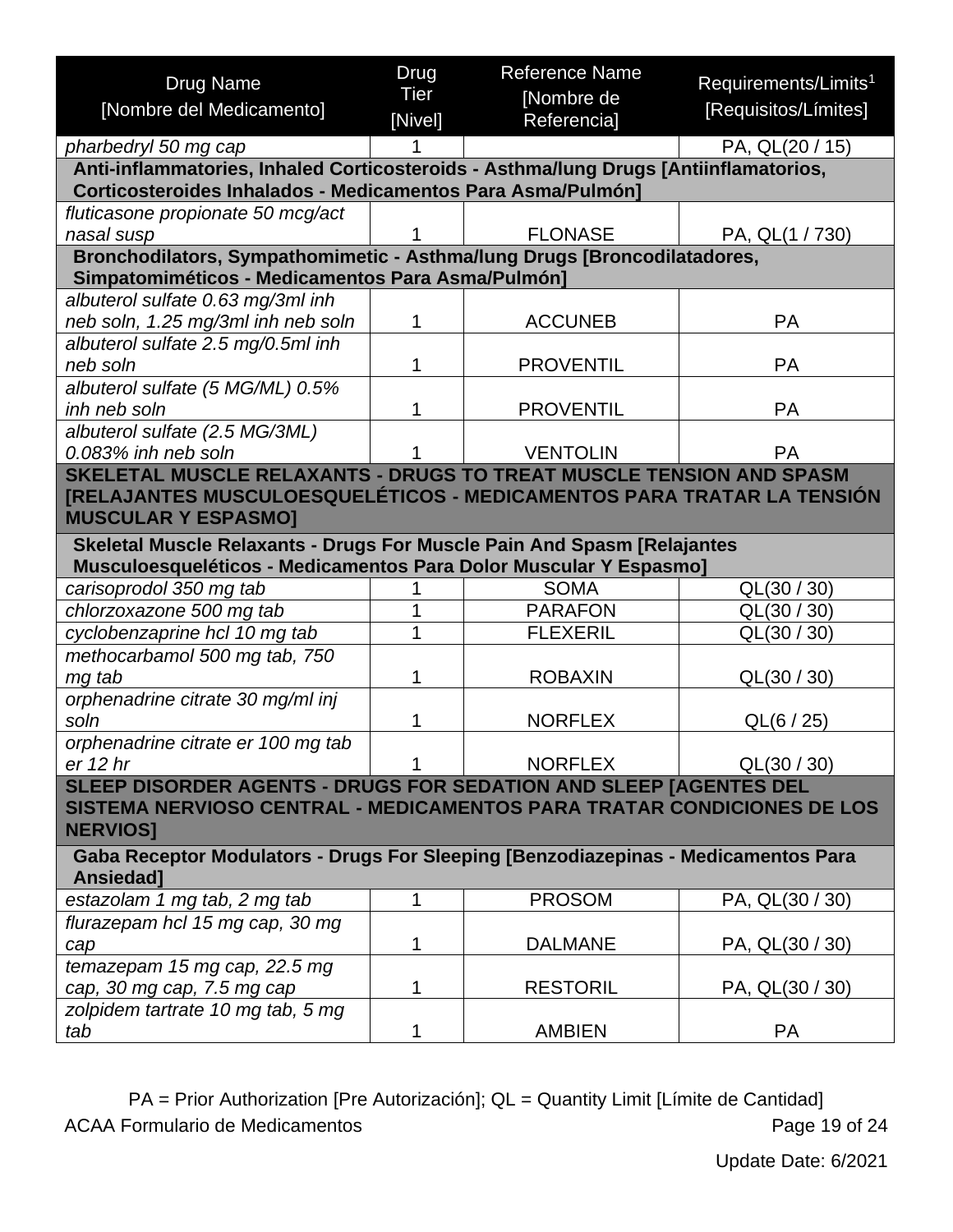<span id="page-18-0"></span>

| <b>Drug Name</b><br>[Nombre del Medicamento]                                                                                                                   | Drug<br><b>Tier</b><br>[Nivel] | <b>Reference Name</b><br>[Nombre de<br>Referencia] | Requirements/Limits <sup>1</sup><br>[Requisitos/Límites] |
|----------------------------------------------------------------------------------------------------------------------------------------------------------------|--------------------------------|----------------------------------------------------|----------------------------------------------------------|
| pharbedryl 50 mg cap                                                                                                                                           |                                |                                                    | PA, QL(20 / 15)                                          |
| Anti-inflammatories, Inhaled Corticosteroids - Asthma/lung Drugs [Antiinflamatorios,                                                                           |                                |                                                    |                                                          |
| Corticosteroides Inhalados - Medicamentos Para Asma/Pulmón]                                                                                                    |                                |                                                    |                                                          |
| fluticasone propionate 50 mcg/act                                                                                                                              |                                |                                                    |                                                          |
| nasal susp                                                                                                                                                     |                                | <b>FLONASE</b>                                     | PA, QL(1 / 730)                                          |
| Bronchodilators, Sympathomimetic - Asthma/lung Drugs [Broncodilatadores,<br>Simpatomiméticos - Medicamentos Para Asma/Pulmón]                                  |                                |                                                    |                                                          |
| albuterol sulfate 0.63 mg/3ml inh                                                                                                                              |                                |                                                    |                                                          |
| neb soln, 1.25 mg/3ml inh neb soln                                                                                                                             | 1                              | <b>ACCUNEB</b>                                     | <b>PA</b>                                                |
| albuterol sulfate 2.5 mg/0.5ml inh                                                                                                                             |                                |                                                    |                                                          |
| neb soln                                                                                                                                                       | 1                              | <b>PROVENTIL</b>                                   | <b>PA</b>                                                |
| albuterol sulfate (5 MG/ML) 0.5%                                                                                                                               |                                |                                                    |                                                          |
| inh neb soln                                                                                                                                                   | 1                              | <b>PROVENTIL</b>                                   | <b>PA</b>                                                |
| albuterol sulfate (2.5 MG/3ML)                                                                                                                                 |                                |                                                    |                                                          |
| 0.083% inh neb soln                                                                                                                                            |                                | <b>VENTOLIN</b>                                    | <b>PA</b>                                                |
| SKELETAL MUSCLE RELAXANTS - DRUGS TO TREAT MUSCLE TENSION AND SPASM                                                                                            |                                |                                                    |                                                          |
| [RELAJANTES MUSCULOESQUELÉTICOS - MEDICAMENTOS PARA TRATAR LA TENSIÓN<br><b>MUSCULAR Y ESPASMO]</b>                                                            |                                |                                                    |                                                          |
| Skeletal Muscle Relaxants - Drugs For Muscle Pain And Spasm [Relajantes<br>Musculoesqueléticos - Medicamentos Para Dolor Muscular Y Espasmo]                   |                                |                                                    |                                                          |
| carisoprodol 350 mg tab                                                                                                                                        |                                | <b>SOMA</b>                                        | QL(30 / 30)                                              |
| chlorzoxazone 500 mg tab                                                                                                                                       |                                | <b>PARAFON</b>                                     | QL(30 / 30)                                              |
| cyclobenzaprine hcl 10 mg tab                                                                                                                                  | 1                              | <b>FLEXERIL</b>                                    | QL(30 / 30)                                              |
| methocarbamol 500 mg tab, 750                                                                                                                                  |                                |                                                    |                                                          |
| mg tab                                                                                                                                                         | 1                              | <b>ROBAXIN</b>                                     | QL(30 / 30)                                              |
| orphenadrine citrate 30 mg/ml inj                                                                                                                              |                                |                                                    |                                                          |
| soln                                                                                                                                                           | 1                              | <b>NORFLEX</b>                                     | QL(6 / 25)                                               |
| orphenadrine citrate er 100 mg tab                                                                                                                             |                                |                                                    |                                                          |
| er 12 hr                                                                                                                                                       |                                | <b>NORFLEX</b>                                     | QL(30 / 30)                                              |
| SLEEP DISORDER AGENTS - DRUGS FOR SEDATION AND SLEEP [AGENTES DEL<br>SISTEMA NERVIOSO CENTRAL - MEDICAMENTOS PARA TRATAR CONDICIONES DE LOS<br><b>NERVIOS]</b> |                                |                                                    |                                                          |
| Gaba Receptor Modulators - Drugs For Sleeping [Benzodiazepinas - Medicamentos Para<br>Ansiedad]                                                                |                                |                                                    |                                                          |
| estazolam 1 mg tab, 2 mg tab                                                                                                                                   | 1                              | <b>PROSOM</b>                                      | PA, QL(30 / 30)                                          |
| flurazepam hcl 15 mg cap, 30 mg                                                                                                                                |                                |                                                    |                                                          |
| cap                                                                                                                                                            | 1                              | <b>DALMANE</b>                                     | PA, QL(30 / 30)                                          |
| temazepam 15 mg cap, 22.5 mg                                                                                                                                   |                                |                                                    |                                                          |
| cap, 30 mg cap, 7.5 mg cap                                                                                                                                     | 1                              | <b>RESTORIL</b>                                    | PA, QL(30 / 30)                                          |
| zolpidem tartrate 10 mg tab, 5 mg                                                                                                                              |                                |                                                    |                                                          |
| tab                                                                                                                                                            |                                | <b>AMBIEN</b>                                      | <b>PA</b>                                                |

<span id="page-18-1"></span>PA = Prior Authorization [Pre Autorización]; QL = Quantity Limit [Límite de Cantidad] ACAA Formulario de Medicamentos **Page 19 of 24**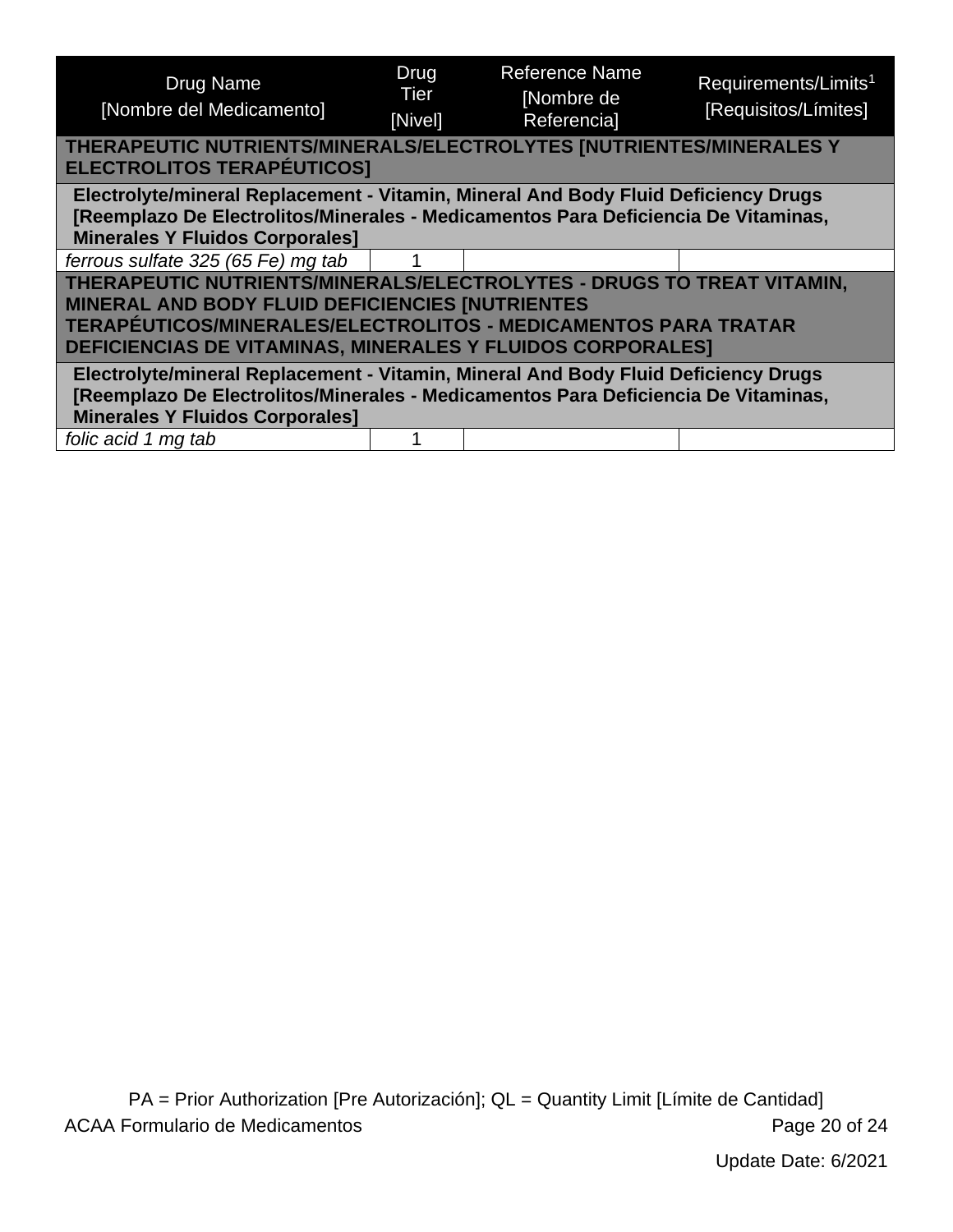<span id="page-19-1"></span><span id="page-19-0"></span>

| Drug Name<br>[Nombre del Medicamento]                                                                                                                                                                                                                                  | Drug<br>Tier<br>[Nivel] | <b>Reference Name</b><br>[Nombre de<br><b>Referencial</b> | Requirements/Limits <sup>1</sup><br>[Requisitos/Límites] |
|------------------------------------------------------------------------------------------------------------------------------------------------------------------------------------------------------------------------------------------------------------------------|-------------------------|-----------------------------------------------------------|----------------------------------------------------------|
| THERAPEUTIC NUTRIENTS/MINERALS/ELECTROLYTES [NUTRIENTES/MINERALES Y<br><b>ELECTROLITOS TERAPÉUTICOS]</b>                                                                                                                                                               |                         |                                                           |                                                          |
| Electrolyte/mineral Replacement - Vitamin, Mineral And Body Fluid Deficiency Drugs<br>[Reemplazo De Electrolitos/Minerales - Medicamentos Para Deficiencia De Vitaminas,<br><b>Minerales Y Fluidos Corporales]</b>                                                     |                         |                                                           |                                                          |
| ferrous sulfate 325 (65 Fe) mg tab                                                                                                                                                                                                                                     |                         |                                                           |                                                          |
| THERAPEUTIC NUTRIENTS/MINERALS/ELECTROLYTES - DRUGS TO TREAT VITAMIN,<br><b>MINERAL AND BODY FLUID DEFICIENCIES [NUTRIENTES</b><br>TERAPÉUTICOS/MINERALES/ELECTROLITOS - MEDICAMENTOS PARA TRATAR<br><b>DEFICIENCIAS DE VITAMINAS, MINERALES Y FLUIDOS CORPORALES]</b> |                         |                                                           |                                                          |
| Electrolyte/mineral Replacement - Vitamin, Mineral And Body Fluid Deficiency Drugs<br>[Reemplazo De Electrolitos/Minerales - Medicamentos Para Deficiencia De Vitaminas,<br><b>Minerales Y Fluidos Corporales]</b>                                                     |                         |                                                           |                                                          |
| folic acid 1 mg tab                                                                                                                                                                                                                                                    |                         |                                                           |                                                          |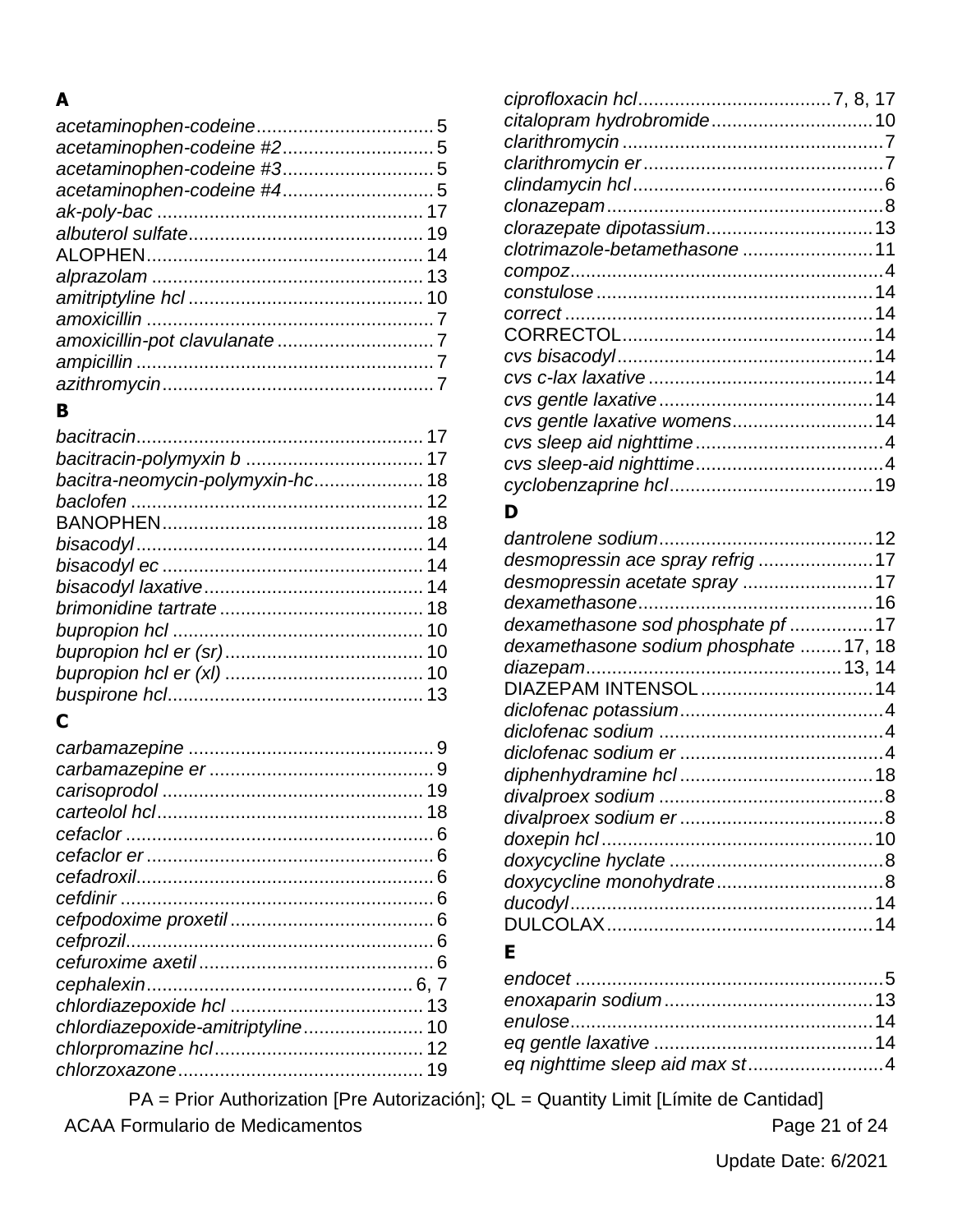#### $\blacktriangle$

#### $\mathbf{B}$

| bacitra-neomycin-polymyxin-hc 18 |    |
|----------------------------------|----|
|                                  |    |
|                                  |    |
|                                  | 14 |
|                                  | 14 |
|                                  |    |
|                                  |    |
|                                  | 10 |
|                                  |    |
|                                  |    |
|                                  |    |
|                                  |    |

## $\mathbf C$

|                                   | 9 |
|-----------------------------------|---|
|                                   |   |
|                                   |   |
|                                   |   |
|                                   |   |
|                                   |   |
|                                   |   |
|                                   |   |
|                                   |   |
|                                   |   |
|                                   |   |
|                                   |   |
|                                   |   |
| chlordiazepoxide-amitriptyline 10 |   |
|                                   |   |
|                                   |   |
|                                   |   |

| clotrimazole-betamethasone  11 |  |
|--------------------------------|--|
|                                |  |
|                                |  |
|                                |  |
|                                |  |
|                                |  |
|                                |  |
|                                |  |
| cvs gentle laxative womens14   |  |
|                                |  |
|                                |  |
|                                |  |
|                                |  |

#### D

| desmopressin ace spray refrig17       |  |
|---------------------------------------|--|
| desmopressin acetate spray 17         |  |
|                                       |  |
| dexamethasone sod phosphate pf17      |  |
| dexamethasone sodium phosphate 17, 18 |  |
|                                       |  |
| DIAZEPAM INTENSOL  14                 |  |
|                                       |  |
|                                       |  |
|                                       |  |
|                                       |  |
|                                       |  |
|                                       |  |
|                                       |  |
|                                       |  |
|                                       |  |
|                                       |  |
|                                       |  |
|                                       |  |

## $\mathsf E$

| eq nighttime sleep aid max st4 |
|--------------------------------|
|                                |

PA = Prior Authorization [Pre Autorización]; QL = Quantity Limit [Límite de Cantidad]

**ACAA Formulario de Medicamentos** 

Page 21 of 24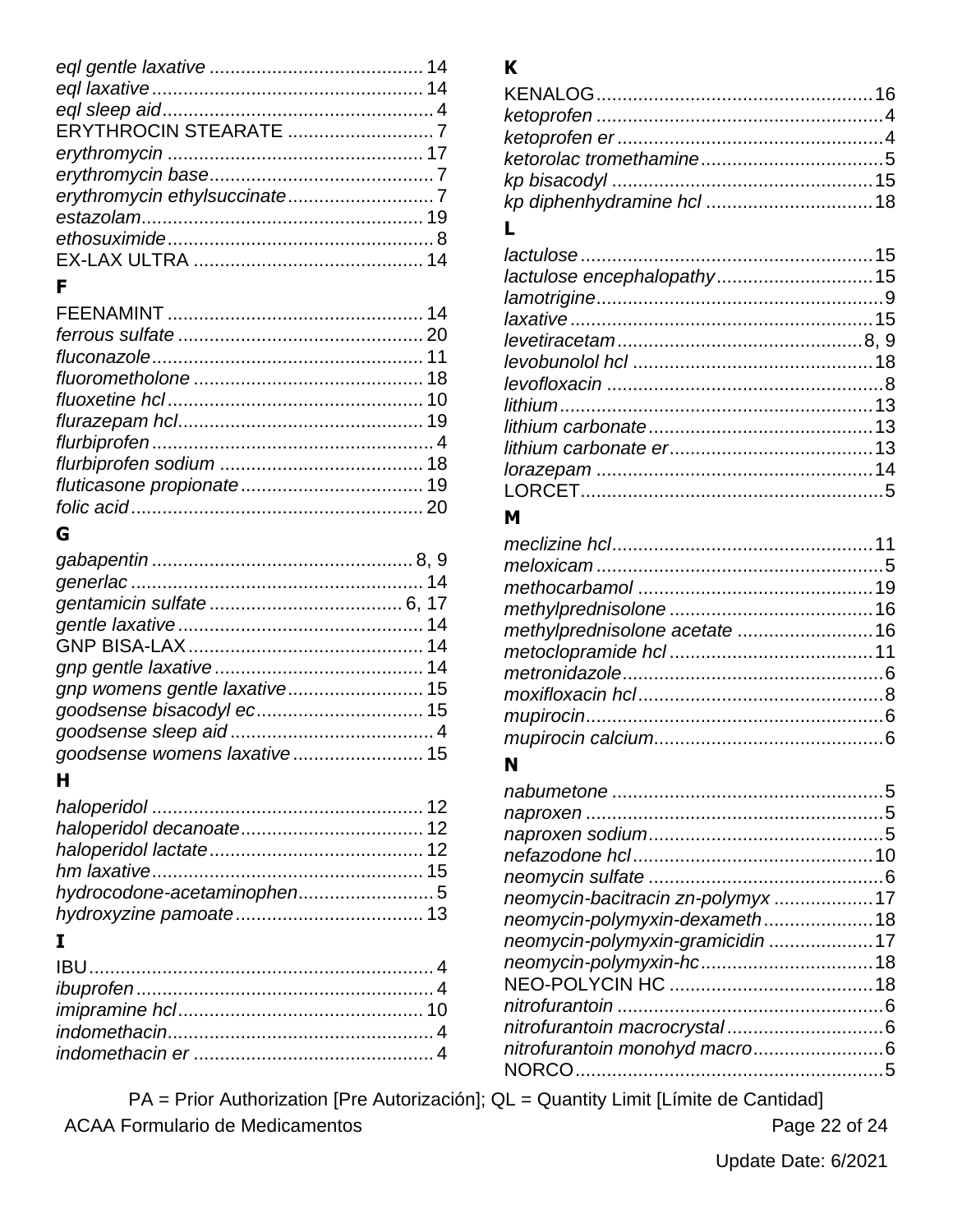## $\mathsf F$

# G

| goodsense womens laxative 15 |  |
|------------------------------|--|
|                              |  |

## $H$

| hydrocodone-acetaminophen5 |  |
|----------------------------|--|
|                            |  |
| I                          |  |

# $\boldsymbol{\mathsf{K}}$

## L

#### $\boldsymbol{\mathsf{M}}$

| methylprednisolone acetate  16 |  |
|--------------------------------|--|
|                                |  |
|                                |  |
|                                |  |
|                                |  |
|                                |  |

#### $\boldsymbol{\mathsf{N}}$

| neomycin-bacitracin zn-polymyx17 |  |
|----------------------------------|--|
| neomycin-polymyxin-dexameth18    |  |
| neomycin-polymyxin-gramicidin 17 |  |
|                                  |  |
|                                  |  |
|                                  |  |
|                                  |  |
| nitrofurantoin monohyd macro6    |  |
|                                  |  |
|                                  |  |

PA = Prior Authorization [Pre Autorización]; QL = Quantity Limit [Límite de Cantidad] **ACAA Formulario de Medicamentos** 

Page 22 of 24